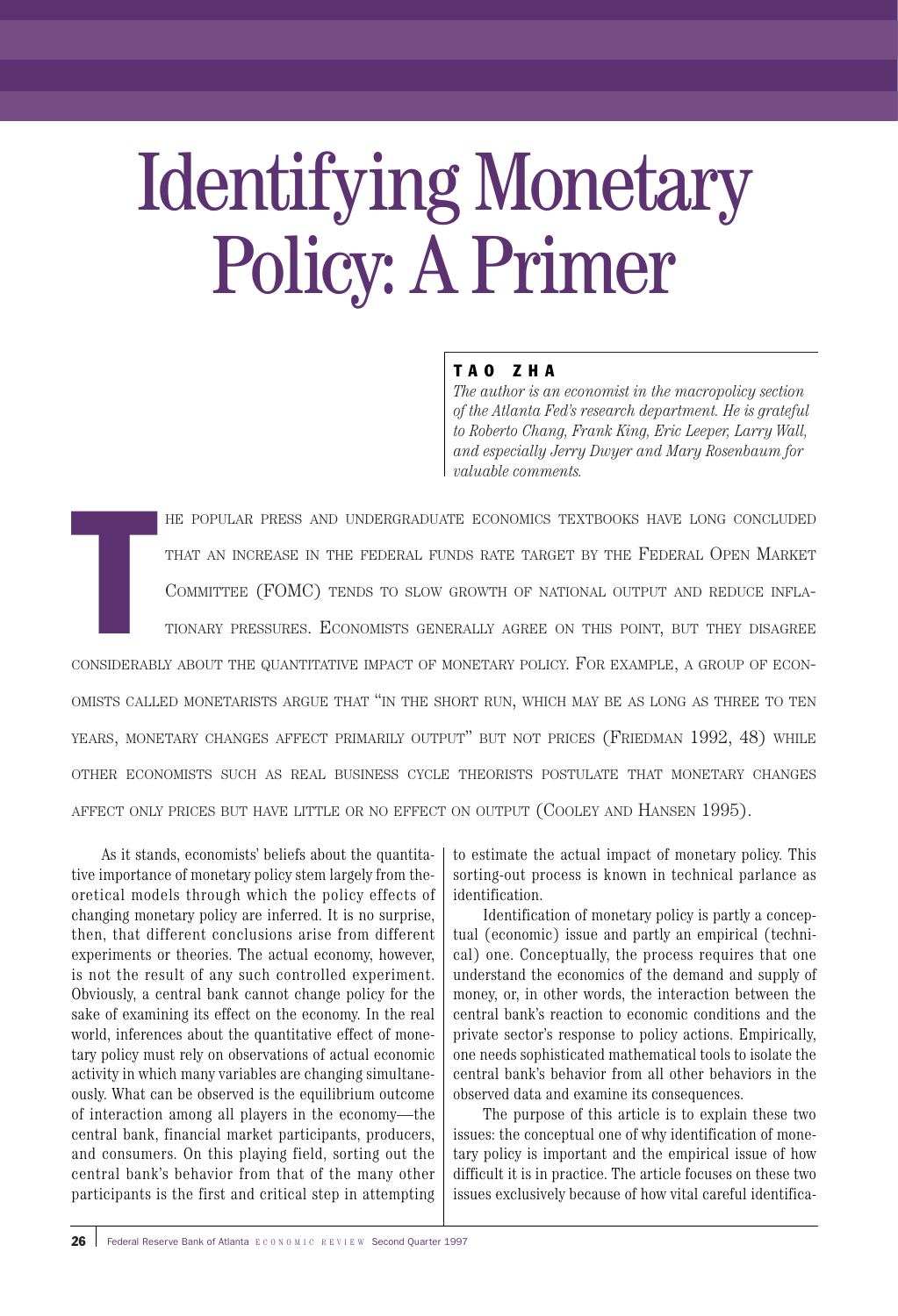# Identifying Monetary Policy: A Primer

# TAO ZHA

*The author is an economist in the macropolicy section of the Atlanta Fed's research department. He is grateful to Roberto Chang, Frank King, Eric Leeper, Larry Wall, and especially Jerry Dwyer and Mary Rosenbaum for valuable comments.*

T HE POPULAR PRESS AND UNDERGRADUATE ECONOMICS TEXTBOOKS HAVE LONG CONCLUDED THAT AN INCREASE IN THE FEDERAL FUNDS RATE TARGET BY THE FEDERAL OPEN MARKET COMMITTEE (FOMC) TENDS TO SLOW GROWTH OF NATIONAL OUTPUT AND REDUCE INFLA-TIONARY PRESSURES. ECONOMISTS GENERALLY AGREE ON THIS POINT, BUT THEY DISAGREE CONSIDERABLY ABOUT THE QUANTITATIVE IMPACT OF MONETARY POLICY. FOR EXAMPLE, A GROUP OF ECON-OMISTS CALLED MONETARISTS ARGUE THAT "IN THE SHORT RUN, WHICH MAY BE AS LONG AS THREE TO TEN YEARS, MONETARY CHANGES AFFECT PRIMARILY OUTPUT" BUT NOT PRICES (FRIEDMAN 1992, 48) WHILE OTHER ECONOMISTS SUCH AS REAL BUSINESS CYCLE THEORISTS POSTULATE THAT MONETARY CHANGES AFFECT ONLY PRICES BUT HAVE LITTLE OR NO EFFECT ON OUTPUT (COOLEY AND HANSEN 1995).

As it stands, economists' beliefs about the quantitative importance of monetary policy stem largely from theoretical models through which the policy effects of changing monetary policy are inferred. It is no surprise, then, that different conclusions arise from different experiments or theories. The actual economy, however, is not the result of any such controlled experiment. Obviously, a central bank cannot change policy for the sake of examining its effect on the economy. In the real world, inferences about the quantitative effect of monetary policy must rely on observations of actual economic activity in which many variables are changing simultaneously. What can be observed is the equilibrium outcome of interaction among all players in the economy—the central bank, financial market participants, producers, and consumers. On this playing field, sorting out the central bank's behavior from that of the many other participants is the first and critical step in attempting

to estimate the actual impact of monetary policy. This sorting-out process is known in technical parlance as identification.

Identification of monetary policy is partly a conceptual (economic) issue and partly an empirical (technical) one. Conceptually, the process requires that one understand the economics of the demand and supply of money, or, in other words, the interaction between the central bank's reaction to economic conditions and the private sector's response to policy actions. Empirically, one needs sophisticated mathematical tools to isolate the central bank's behavior from all other behaviors in the observed data and examine its consequences.

The purpose of this article is to explain these two issues: the conceptual one of why identification of monetary policy is important and the empirical issue of how difficult it is in practice. The article focuses on these two issues exclusively because of how vital careful identifica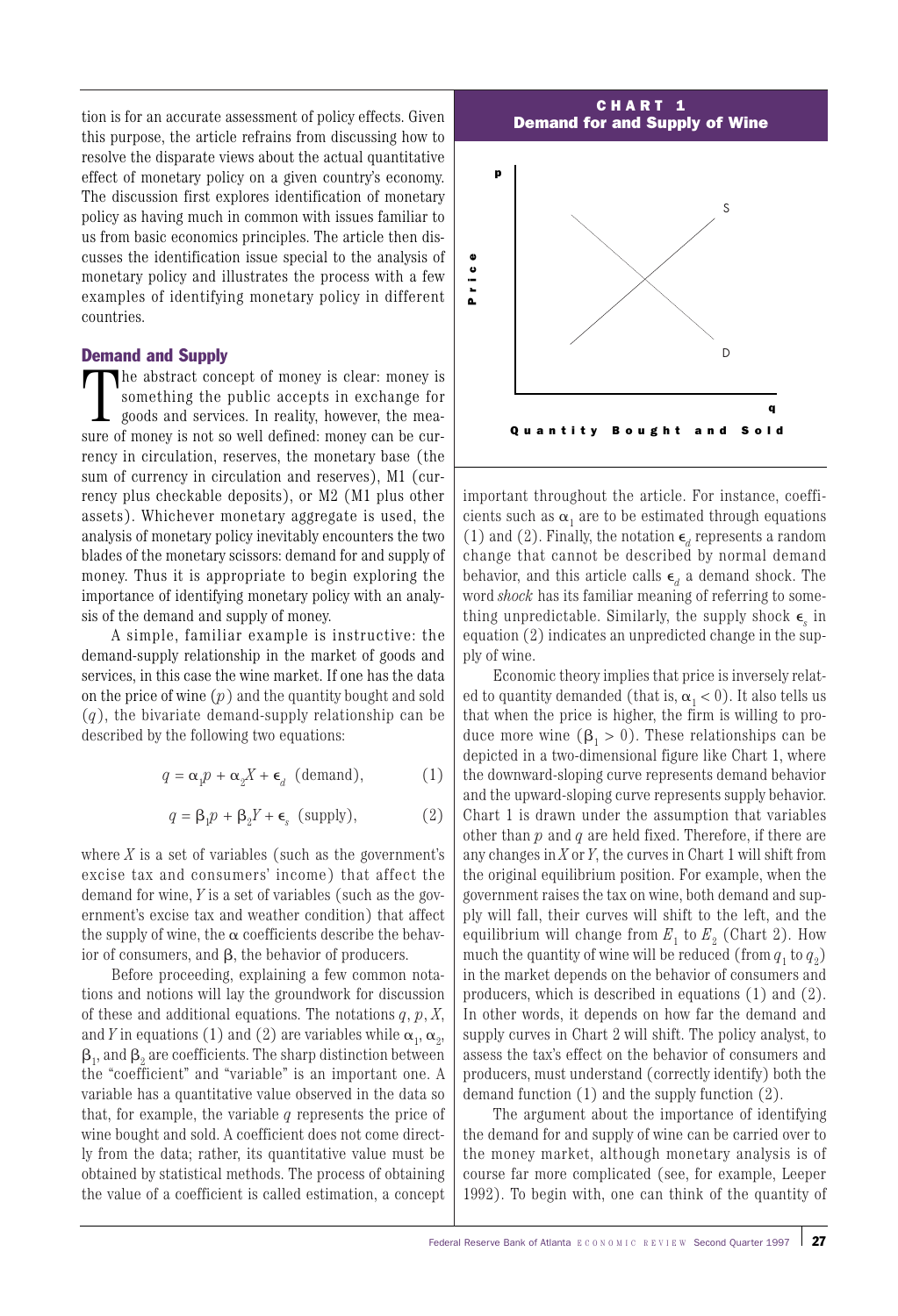tion is for an accurate assessment of policy effects. Given this purpose, the article refrains from discussing how to resolve the disparate views about the actual quantitative effect of monetary policy on a given country's economy. The discussion first explores identification of monetary policy as having much in common with issues familiar to us from basic economics principles. The article then discusses the identification issue special to the analysis of monetary policy and illustrates the process with a few examples of identifying monetary policy in different countries.

#### Demand and Supply

The abstract concept of money is clear: money is something the public accepts in exchange for goods and services. In reality, however, the measure of money is not so well defined: money can be currency in circulation, reserves, the monetary base (the sum of currency in circulation and reserves), M1 (currency plus checkable deposits), or M2 (M1 plus other assets). Whichever monetary aggregate is used, the analysis of monetary policy inevitably encounters the two blades of the monetary scissors: demand for and supply of money. Thus it is appropriate to begin exploring the importance of identifying monetary policy with an analysis of the demand and supply of money.

A simple, familiar example is instructive: the demand-supply relationship in the market of goods and services, in this case the wine market. If one has the data on the price of wine (*p*) and the quantity bought and sold (*q*), the bivariate demand-supply relationship can be described by the following two equations:

$$
q = \alpha_1 p + \alpha_2 X + \epsilon_d \text{ (demand)}, \tag{1}
$$

$$
q = \beta_1 p + \beta_2 Y + \epsilon_s \text{ (supply)}, \tag{2}
$$

where  $X$  is a set of variables (such as the government's excise tax and consumers' income) that affect the demand for wine, *Y* is a set of variables (such as the government's excise tax and weather condition) that affect the supply of wine, the  $\alpha$  coefficients describe the behavior of consumers, and  $\beta$ , the behavior of producers.

Before proceeding, explaining a few common notations and notions will lay the groundwork for discussion of these and additional equations. The notations *q*, *p*, *X*, and *Y* in equations (1) and (2) are variables while  $\alpha_{1}$ ,  $\alpha_{2}$ ,  $\boldsymbol{\beta}_1$ , and  $\boldsymbol{\beta}_2$  are coefficients. The sharp distinction between the "coefficient" and "variable" is an important one. A variable has a quantitative value observed in the data so that, for example, the variable *q* represents the price of wine bought and sold. A coefficient does not come directly from the data; rather, its quantitative value must be obtained by statistical methods. The process of obtaining the value of a coefficient is called estimation, a concept



important throughout the article. For instance, coefficients such as  $\alpha_1$  are to be estimated through equations (1) and (2). Finally, the notation  $\epsilon_d$  represents a random change that cannot be described by normal demand behavior, and this article calls  $\epsilon$ <sub>d</sub> a demand shock. The word *shock* has its familiar meaning of referring to something unpredictable. Similarly, the supply shock  $\epsilon_{a}$  in equation (2) indicates an unpredicted change in the supply of wine.

Economic theory implies that price is inversely related to quantity demanded (that is,  $\alpha_1 < 0$ ). It also tells us that when the price is higher, the firm is willing to produce more wine  $(\beta_1 > 0)$ . These relationships can be depicted in a two-dimensional figure like Chart 1, where the downward-sloping curve represents demand behavior and the upward-sloping curve represents supply behavior. Chart 1 is drawn under the assumption that variables other than *p* and *q* are held fixed. Therefore, if there are any changes in *X* or *Y*, the curves in Chart 1 will shift from the original equilibrium position. For example, when the government raises the tax on wine, both demand and supply will fall, their curves will shift to the left, and the equilibrium will change from  $E_1$  to  $E_2$  (Chart 2). How much the quantity of wine will be reduced (from  $q_1$  to  $q_2$ ) in the market depends on the behavior of consumers and producers, which is described in equations (1) and (2). In other words, it depends on how far the demand and supply curves in Chart 2 will shift. The policy analyst, to assess the tax's effect on the behavior of consumers and producers, must understand (correctly identify) both the demand function (1) and the supply function (2).

The argument about the importance of identifying the demand for and supply of wine can be carried over to the money market, although monetary analysis is of course far more complicated (see, for example, Leeper 1992). To begin with, one can think of the quantity of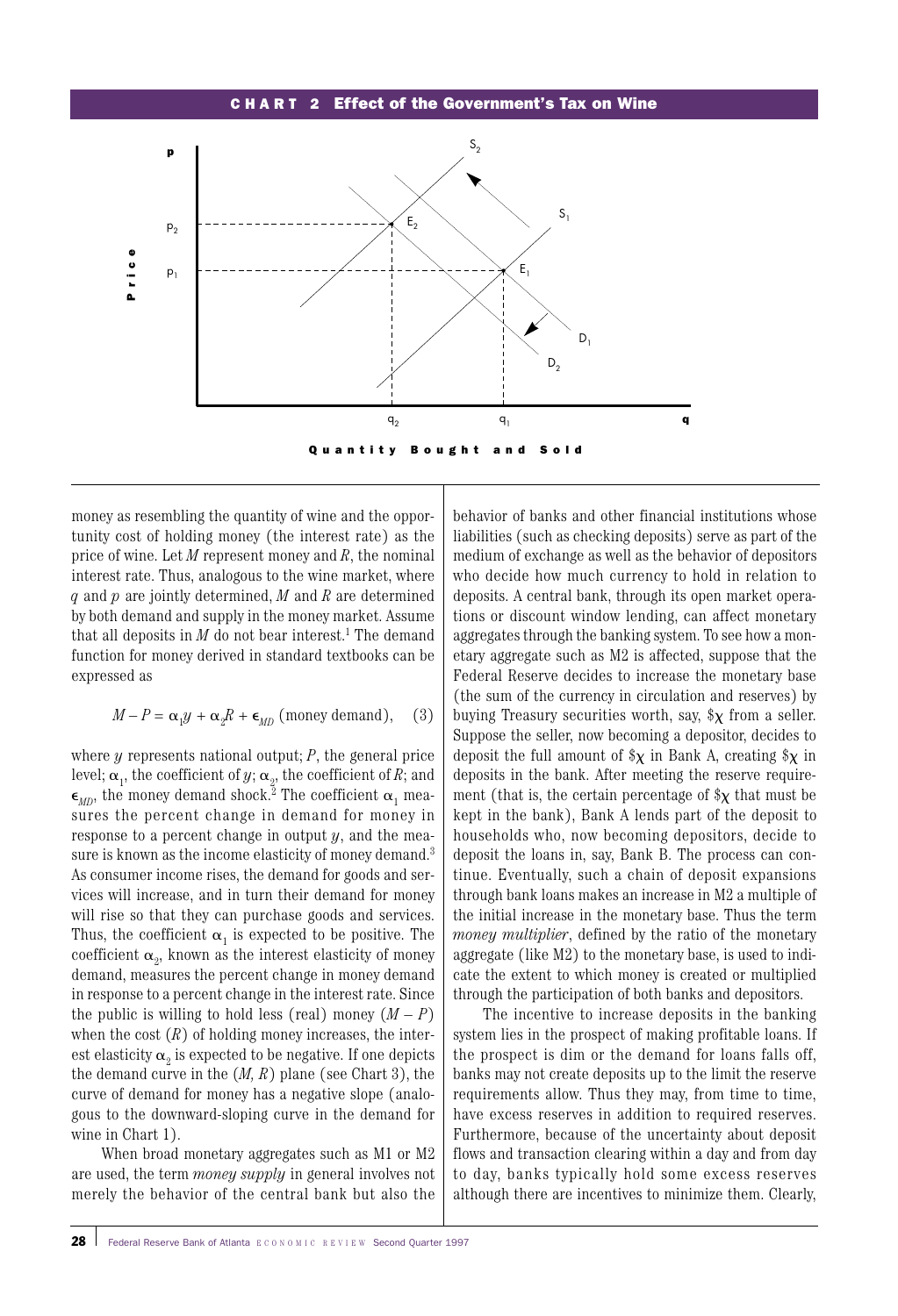#### CHA R T 2 Effect of the Government's Tax on Wine



money as resembling the quantity of wine and the opportunity cost of holding money (the interest rate) as the price of wine. Let *M* represent money and *R*, the nominal interest rate. Thus, analogous to the wine market, where *q* and *p* are jointly determined, *M* and *R* are determined by both demand and supply in the money market. Assume that all deposits in  $M$  do not bear interest.<sup>1</sup> The demand function for money derived in standard textbooks can be expressed as

$$
M - P = \alpha_1 y + \alpha_2 R + \epsilon_{MD} \text{ (money demand)}, \quad (3)
$$

where *y* represents national output; *P*, the general price level;  $\bm{\alpha}_1$ , the coefficient of  $y$ ;  $\bm{\alpha}_2$ , the coefficient of  $R$ ; and  $\epsilon_{MN}$ , the money demand shock.<sup>2</sup> The coefficient  $\alpha_1$  measures the percent change in demand for money in response to a percent change in output *y*, and the measure is known as the income elasticity of money demand.<sup>3</sup> As consumer income rises, the demand for goods and services will increase, and in turn their demand for money will rise so that they can purchase goods and services. Thus, the coefficient  $\alpha_1$  is expected to be positive. The coefficient  $\alpha_{\text{\tiny Z}},$  known as the interest elasticity of money demand, measures the percent change in money demand in response to a percent change in the interest rate. Since the public is willing to hold less (real) money  $(M - P)$ when the cost  $(R)$  of holding money increases, the interest elasticity  $\alpha$ , is expected to be negative. If one depicts the demand curve in the (*M, R*) plane (see Chart 3), the curve of demand for money has a negative slope (analogous to the downward-sloping curve in the demand for wine in Chart 1).

When broad monetary aggregates such as M1 or M2 are used, the term *money supply* in general involves not merely the behavior of the central bank but also the

behavior of banks and other financial institutions whose liabilities (such as checking deposits) serve as part of the medium of exchange as well as the behavior of depositors who decide how much currency to hold in relation to deposits. A central bank, through its open market operations or discount window lending, can affect monetary aggregates through the banking system. To see how a monetary aggregate such as M2 is affected, suppose that the Federal Reserve decides to increase the monetary base (the sum of the currency in circulation and reserves) by buying Treasury securities worth, say,  $\chi$  from a seller. Suppose the seller, now becoming a depositor, decides to deposit the full amount of  $x \in \mathbb{R}$  in Bank A, creating  $x \in \mathbb{R}$  in deposits in the bank. After meeting the reserve requirement (that is, the certain percentage of  $\chi$  that must be kept in the bank), Bank A lends part of the deposit to households who, now becoming depositors, decide to deposit the loans in, say, Bank B. The process can continue. Eventually, such a chain of deposit expansions through bank loans makes an increase in M2 a multiple of the initial increase in the monetary base. Thus the term *money multiplier*, defined by the ratio of the monetary aggregate (like M2) to the monetary base, is used to indicate the extent to which money is created or multiplied through the participation of both banks and depositors.

The incentive to increase deposits in the banking system lies in the prospect of making profitable loans. If the prospect is dim or the demand for loans falls off, banks may not create deposits up to the limit the reserve requirements allow. Thus they may, from time to time, have excess reserves in addition to required reserves. Furthermore, because of the uncertainty about deposit flows and transaction clearing within a day and from day to day, banks typically hold some excess reserves although there are incentives to minimize them. Clearly,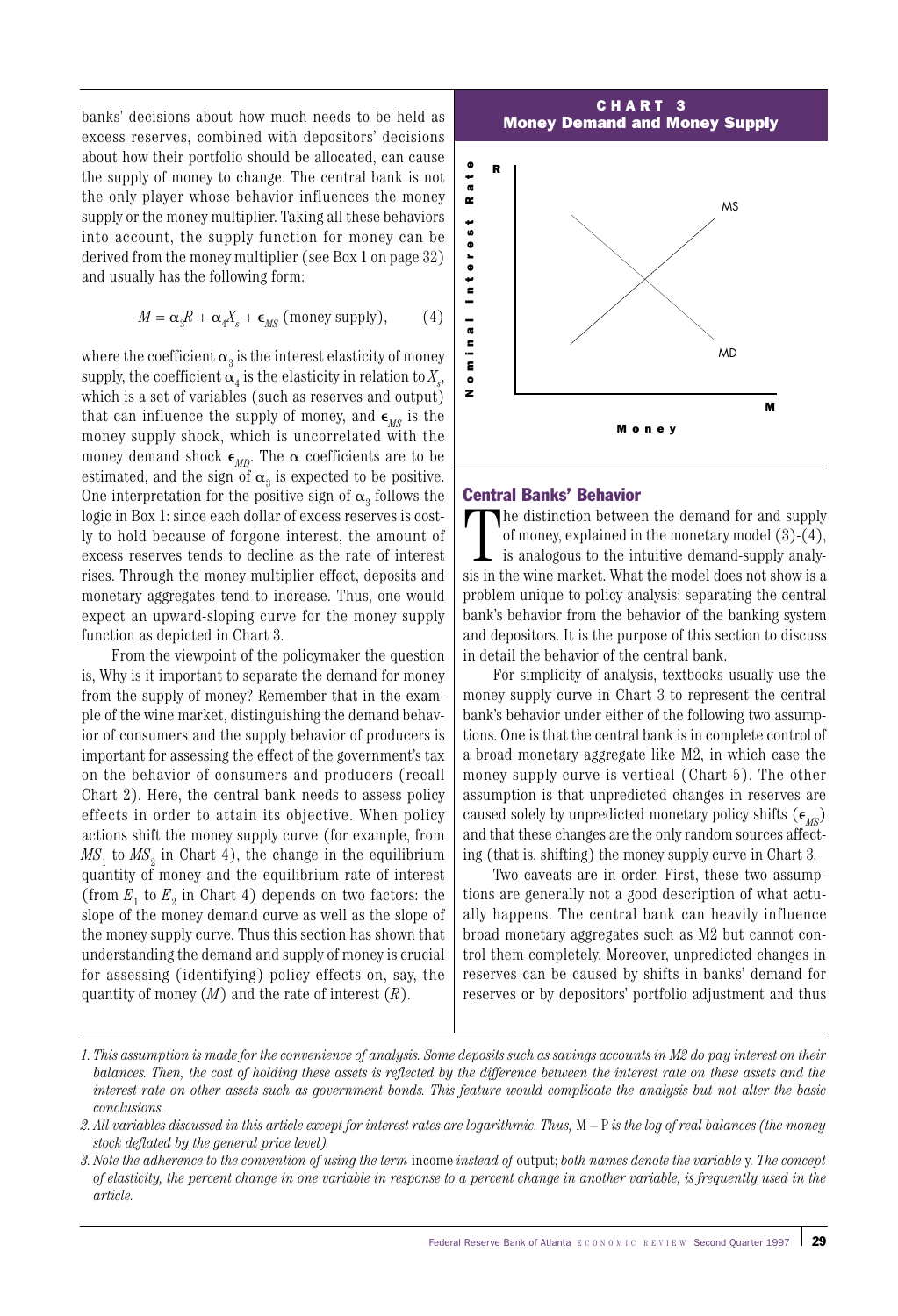banks' decisions about how much needs to be held as excess reserves, combined with depositors' decisions about how their portfolio should be allocated, can cause the supply of money to change. The central bank is not the only player whose behavior influences the money supply or the money multiplier. Taking all these behaviors into account, the supply function for money can be derived from the money multiplier (see Box 1 on page 32) and usually has the following form:

$$
M = \alpha_{3}R + \alpha_{4}X_{s} + \epsilon_{MS} \text{ (money supply)}, \qquad (4)
$$

where the coefficient  $\alpha_3$  is the interest elasticity of money supply, the coefficient  $\alpha_4$  is the elasticity in relation to  $X_{\!s}$ , which is a set of variables (such as reserves and output) that can influence the supply of money, and  $\epsilon_{\scriptscriptstyle MS}$  is the money supply shock, which is uncorrelated with the money demand shock  $\epsilon_{MD}$ . The  $\alpha$  coefficients are to be estimated, and the sign of  $\alpha_3$  is expected to be positive. One interpretation for the positive sign of  $\alpha_3$  follows the logic in Box 1: since each dollar of excess reserves is costly to hold because of forgone interest, the amount of excess reserves tends to decline as the rate of interest rises. Through the money multiplier effect, deposits and monetary aggregates tend to increase. Thus, one would expect an upward-sloping curve for the money supply function as depicted in Chart 3.

From the viewpoint of the policymaker the question is, Why is it important to separate the demand for money from the supply of money? Remember that in the example of the wine market, distinguishing the demand behavior of consumers and the supply behavior of producers is important for assessing the effect of the government's tax on the behavior of consumers and producers (recall Chart 2). Here, the central bank needs to assess policy effects in order to attain its objective. When policy actions shift the money supply curve (for example, from  $MS<sub>1</sub>$  to  $MS<sub>2</sub>$  in Chart 4), the change in the equilibrium quantity of money and the equilibrium rate of interest (from  $E_1$  to  $E_2$  in Chart 4) depends on two factors: the slope of the money demand curve as well as the slope of the money supply curve. Thus this section has shown that understanding the demand and supply of money is crucial for assessing (identifying) policy effects on, say, the quantity of money (*M*) and the rate of interest (*R*).



#### Central Banks' Behavior

The distinction between the demand for and supply of money, explained in the monetary model (3)-(4), is analogous to the intuitive demand-supply analysis in the wine market. What the model does not show is a he distinction between the demand for and supply of money, explained in the monetary model (3)-(4), is analogous to the intuitive demand-supply analyproblem unique to policy analysis: separating the central bank's behavior from the behavior of the banking system and depositors. It is the purpose of this section to discuss in detail the behavior of the central bank.

For simplicity of analysis, textbooks usually use the money supply curve in Chart 3 to represent the central bank's behavior under either of the following two assumptions. One is that the central bank is in complete control of a broad monetary aggregate like M2, in which case the money supply curve is vertical (Chart 5). The other assumption is that unpredicted changes in reserves are caused solely by unpredicted monetary policy shifts  $(\epsilon_{MS})$ and that these changes are the only random sources affecting (that is, shifting) the money supply curve in Chart 3.

Two caveats are in order. First, these two assumptions are generally not a good description of what actually happens. The central bank can heavily influence broad monetary aggregates such as M2 but cannot control them completely. Moreover, unpredicted changes in reserves can be caused by shifts in banks' demand for

*<sup>1.</sup> This assumption is made for the convenience of analysis. Some deposits such as savings accounts in M2 do pay interest on their balances. Then, the cost of holding these assets is reflected by the difference between the interest rate on these assets and the interest rate on other assets such as government bonds. This feature would complicate the analysis but not alter the basic conclusions.*

*<sup>2.</sup> All variables discussed in this article except for interest rates are logarithmic. Thus,* M – P *is the log of real balances (the money stock deflated by the general price level).*

*<sup>3.</sup> Note the adherence to the convention of using the term* income *instead of* output; *both names denote the variable* y*. The concept of elasticity, the percent change in one variable in response to a percent change in another variable, is frequently used in the article.*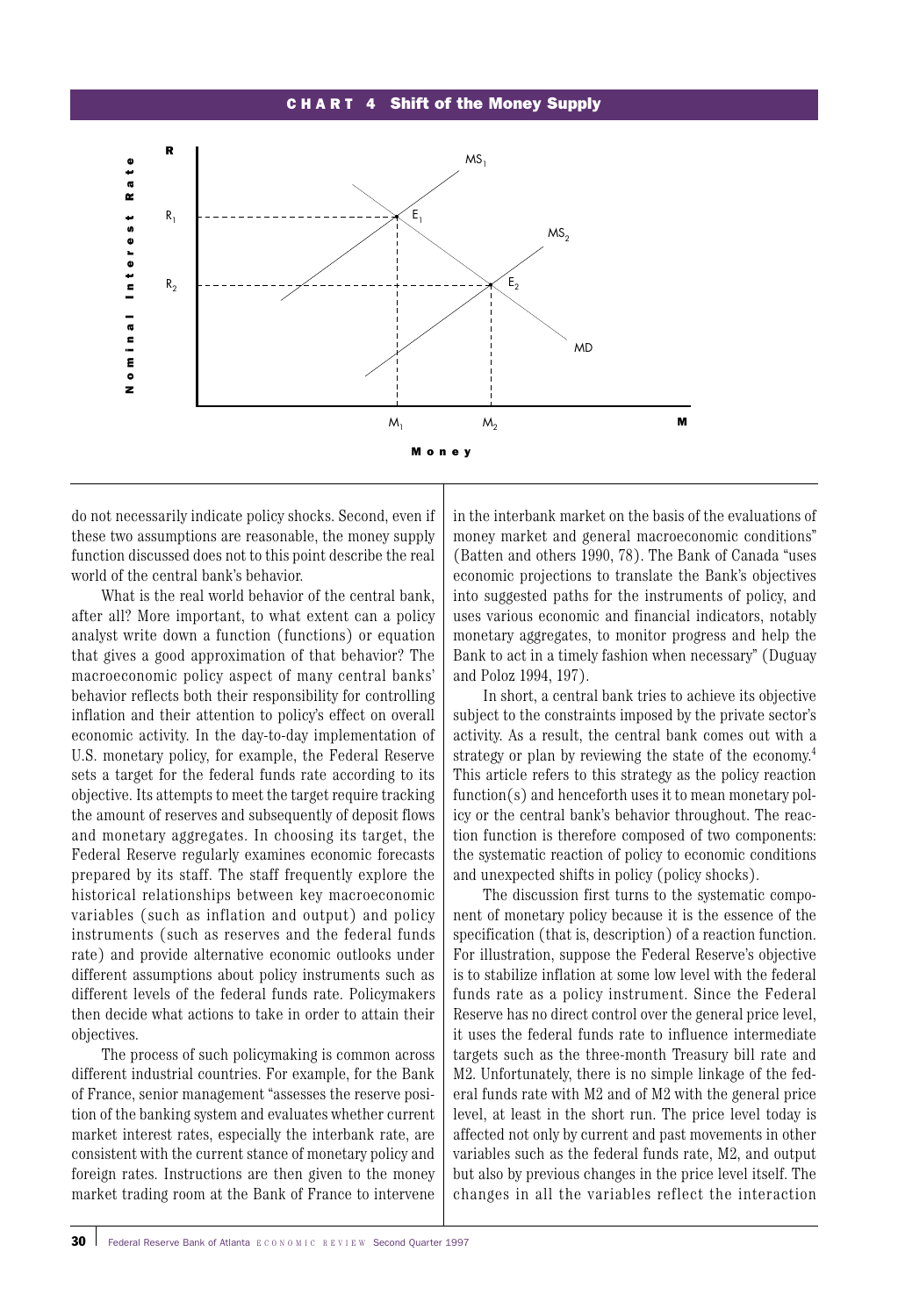#### CHART 4 Shift of the Money Supply



do not necessarily indicate policy shocks. Second, even if these two assumptions are reasonable, the money supply function discussed does not to this point describe the real world of the central bank's behavior.

What is the real world behavior of the central bank, after all? More important, to what extent can a policy analyst write down a function (functions) or equation that gives a good approximation of that behavior? The macroeconomic policy aspect of many central banks' behavior reflects both their responsibility for controlling inflation and their attention to policy's effect on overall economic activity. In the day-to-day implementation of U.S. monetary policy, for example, the Federal Reserve sets a target for the federal funds rate according to its objective. Its attempts to meet the target require tracking the amount of reserves and subsequently of deposit flows and monetary aggregates. In choosing its target, the Federal Reserve regularly examines economic forecasts prepared by its staff. The staff frequently explore the historical relationships between key macroeconomic variables (such as inflation and output) and policy instruments (such as reserves and the federal funds rate) and provide alternative economic outlooks under different assumptions about policy instruments such as different levels of the federal funds rate. Policymakers then decide what actions to take in order to attain their objectives.

The process of such policymaking is common across different industrial countries. For example, for the Bank of France, senior management "assesses the reserve position of the banking system and evaluates whether current market interest rates, especially the interbank rate, are consistent with the current stance of monetary policy and foreign rates. Instructions are then given to the money market trading room at the Bank of France to intervene

in the interbank market on the basis of the evaluations of money market and general macroeconomic conditions" (Batten and others 1990, 78). The Bank of Canada "uses economic projections to translate the Bank's objectives into suggested paths for the instruments of policy, and uses various economic and financial indicators, notably monetary aggregates, to monitor progress and help the Bank to act in a timely fashion when necessary" (Duguay and Poloz 1994, 197).

In short, a central bank tries to achieve its objective subject to the constraints imposed by the private sector's activity. As a result, the central bank comes out with a strategy or plan by reviewing the state of the economy. 4 This article refers to this strategy as the policy reaction function(s) and henceforth uses it to mean monetary policy or the central bank's behavior throughout. The reaction function is therefore composed of two components: the systematic reaction of policy to economic conditions and unexpected shifts in policy (policy shocks).

The discussion first turns to the systematic component of monetary policy because it is the essence of the specification (that is, description) of a reaction function. For illustration, suppose the Federal Reserve's objective is to stabilize inflation at some low level with the federal funds rate as a policy instrument. Since the Federal Reserve has no direct control over the general price level, it uses the federal funds rate to influence intermediate targets such as the three-month Treasury bill rate and M2. Unfortunately, there is no simple linkage of the federal funds rate with M2 and of M2 with the general price level, at least in the short run. The price level today is affected not only by current and past movements in other variables such as the federal funds rate, M2, and output but also by previous changes in the price level itself. The changes in all the variables reflect the interaction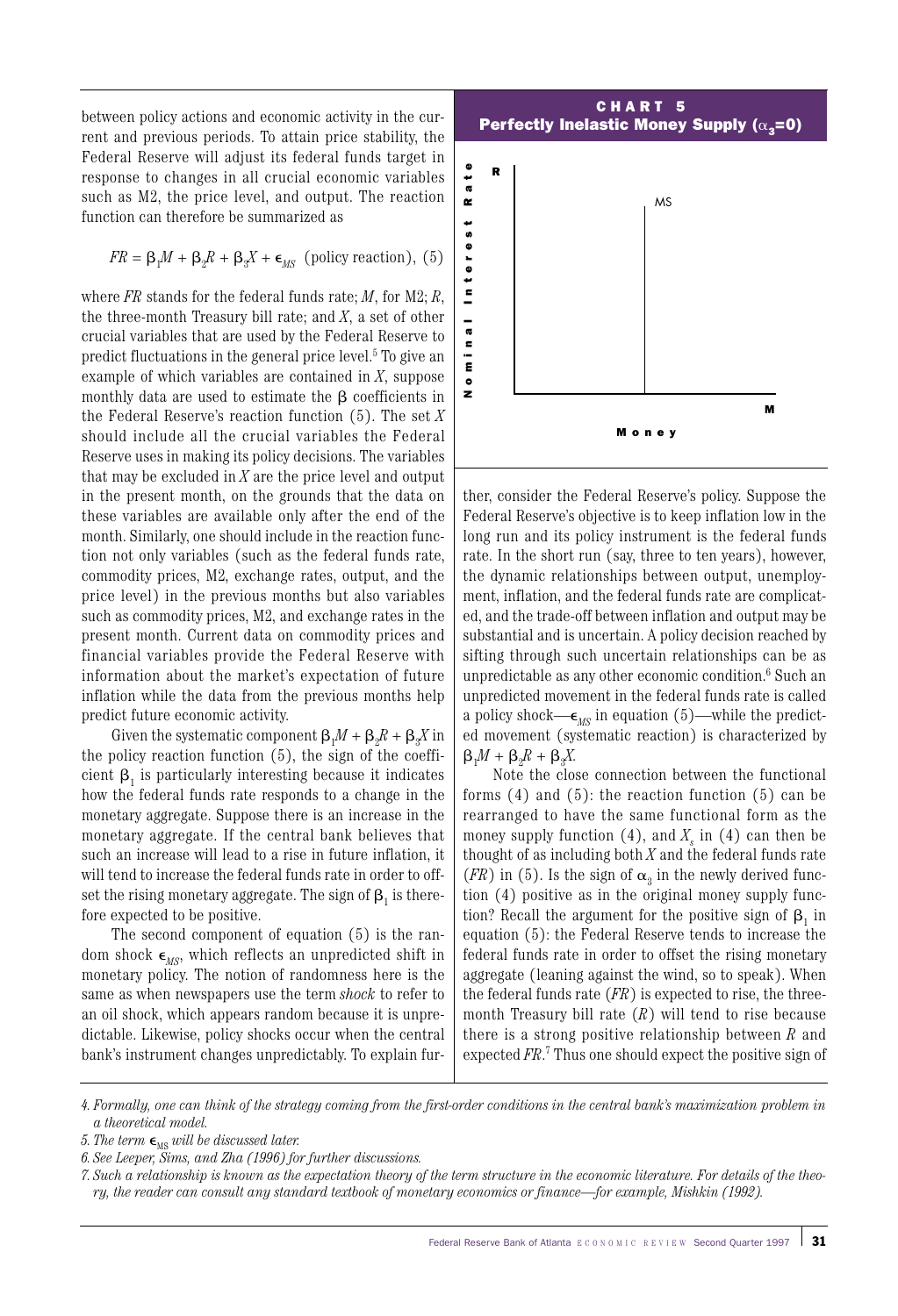between policy actions and economic activity in the current and previous periods. To attain price stability, the Federal Reserve will adjust its federal funds target in response to changes in all crucial economic variables such as M2, the price level, and output. The reaction function can therefore be summarized as

$$
FR = \beta_1 M + \beta_2 R + \beta_3 X + \epsilon_{MS}
$$
 (policy reaction), (5)

where *FR* stands for the federal funds rate; *M*, for M2; *R*, the three-month Treasury bill rate; and *X*, a set of other crucial variables that are used by the Federal Reserve to predict fluctuations in the general price level.<sup>5</sup> To give an example of which variables are contained in *X*, suppose monthly data are used to estimate the  $\beta$  coefficients in the Federal Reserve's reaction function (5). The set *X* should include all the crucial variables the Federal Reserve uses in making its policy decisions. The variables that may be excluded in *X* are the price level and output in the present month, on the grounds that the data on these variables are available only after the end of the month. Similarly, one should include in the reaction function not only variables (such as the federal funds rate, commodity prices, M2, exchange rates, output, and the price level) in the previous months but also variables such as commodity prices, M2, and exchange rates in the present month. Current data on commodity prices and financial variables provide the Federal Reserve with information about the market's expectation of future inflation while the data from the previous months help predict future economic activity. *ry, the reader is the reader of monetary and the reader of monetary in the reader of the reader of monetary economic any standard text be reader to the reader of the reader of the reader of the reader of the reader of the* 

Given the systematic component  $\beta_1 M + \beta_2 R + \beta_3 X$  in the policy reaction function (5), the sign of the coefficient  $\beta_1$  is particularly interesting because it indicates how the federal funds rate responds to a change in the monetary aggregate. Suppose there is an increase in the monetary aggregate. If the central bank believes that such an increase will lead to a rise in future inflation, it will tend to increase the federal funds rate in order to offset the rising monetary aggregate. The sign of  $\beta_1$  is therefore expected to be positive.

The second component of equation (5) is the random shock  $\epsilon_{MS}$ , which reflects an unpredicted shift in monetary policy. The notion of randomness here is the same as when newspapers use the term *shock* to refer to an oil shock, which appears random because it is unpredictable. Likewise, policy shocks occur when the central bank's instrument changes unpredictably. To explain fur-



ther, consider the Federal Reserve's policy. Suppose the Federal Reserve's objective is to keep inflation low in the long run and its policy instrument is the federal funds rate. In the short run (say, three to ten years), however, the dynamic relationships between output, unemployment, inflation, and the federal funds rate are complicated, and the trade-off between inflation and output may be substantial and is uncertain. A policy decision reached by sifting through such uncertain relationships can be as unpredictable as any other economic condition.<sup>6</sup> Such an unpredicted movement in the federal funds rate is called a policy shock— $\epsilon_{MS}$  in equation (5)—while the predicted movement (systematic reaction) is characterized by  $\beta_1 M + \beta_2 R + \beta_3 X$ .

Note the close connection between the functional forms  $(4)$  and  $(5)$ : the reaction function  $(5)$  can be rearranged to have the same functional form as the money supply function  $(4)$ , and  $X<sub>s</sub>$  in  $(4)$  can then be thought of as including both *X* and the federal funds rate (*FR*) in (5). Is the sign of  $\alpha_3$  in the newly derived function (4) positive as in the original money supply function? Recall the argument for the positive sign of  $\beta$ , in equation (5): the Federal Reserve tends to increase the federal funds rate in order to offset the rising monetary aggregate (leaning against the wind, so to speak). When the federal funds rate (*FR*) is expected to rise, the threemonth Treasury bill rate (*R*) will tend to rise because there is a strong positive relationship between *R* and expected *FR*. <sup>7</sup> Thus one should expect the positive sign of

*<sup>4.</sup> Formally, one can think of the strategy coming from the first-order conditions in the central bank's maximization problem in a theoretical model.*

*<sup>5.</sup> The term*  $\epsilon_{\text{MS}}$  *will be discussed later.* 

*<sup>6.</sup> See Leeper, Sims, and Zha (1996) for further discussions.* 

*<sup>7.</sup> Such a relationship is known as the expectation theory of the term structure in the economic literature. For details of the theo-*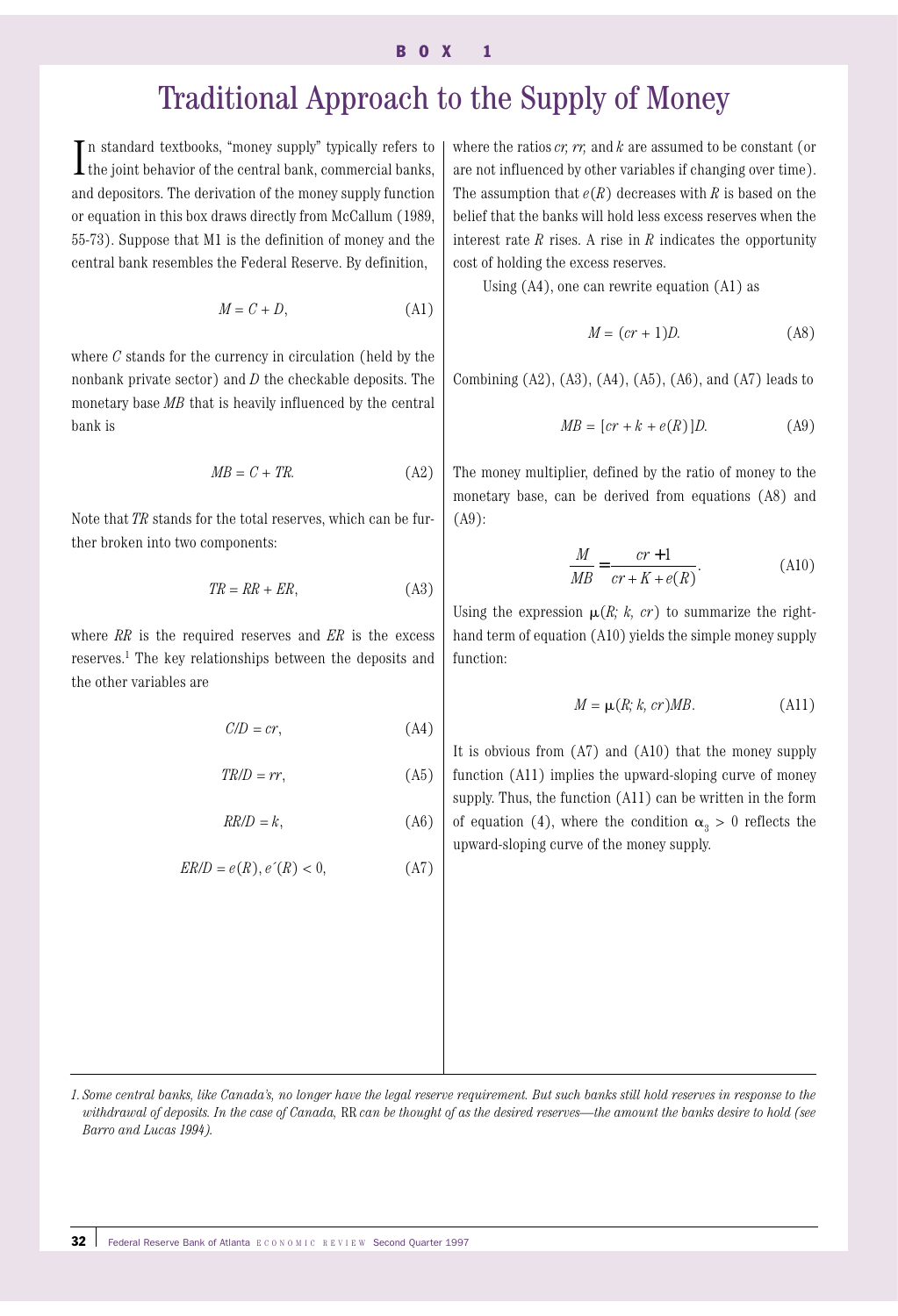#### $\mathbf{0} \times \mathbf{1}$

# Traditional Approach to the Supply of Money

 $\prod$ n standard textbooks, "money supply" typically refers to the joint behavior of the central bank, commercial banks, I the joint behavior of the central bank, commercial banks, and depositors. The derivation of the money supply function or equation in this box draws directly from McCallum (1989, 55-73). Suppose that M1 is the definition of money and the central bank resembles the Federal Reserve. By definition,

$$
M = C + D,\tag{A1}
$$

where *C* stands for the currency in circulation (held by the nonbank private sector) and *D* the checkable deposits. The monetary base *MB* that is heavily influenced by the central bank is

$$
MB = C + TR.\tag{A2}
$$

Note that *TR* stands for the total reserves, which can be further broken into two components:

$$
TR = RR + ER,\tag{A3}
$$

where *RR* is the required reserves and *ER* is the excess reserves.1 The key relationships between the deposits and the other variables are

$$
C/D = cr,\tag{A4}
$$

$$
TR/D = rr,\tag{A5}
$$

$$
RR/D = k,\tag{A6}
$$

$$
ER/D = e(R), e'(R) < 0,\tag{A7}
$$

where the ratios *cr, rr,* and *k* are assumed to be constant (or are not influenced by other variables if changing over time). The assumption that  $e(R)$  decreases with *R* is based on the belief that the banks will hold less excess reserves when the interest rate *R* rises. A rise in *R* indicates the opportunity cost of holding the excess reserves.

Using (A4), one can rewrite equation (A1) as

$$
M = (cr + 1)D.
$$
 (A8)

Combining  $(A2)$ ,  $(A3)$ ,  $(A4)$ ,  $(A5)$ ,  $(A6)$ , and  $(A7)$  leads to

$$
MB = [cr + k + e(R)]D.
$$
 (A9)

The money multiplier, defined by the ratio of money to the monetary base, can be derived from equations (A8) and (A9):

$$
\frac{M}{MB} = \frac{cr+1}{cr+K+e(R)}.\tag{A10}
$$

Using the expression  $\mu(R; k, cr)$  to summarize the righthand term of equation (A10) yields the simple money supply function:

$$
M = \mu(R; k, cr)MB.
$$
 (A11)

It is obvious from (A7) and (A10) that the money supply function (A11) implies the upward-sloping curve of money supply. Thus, the function (A11) can be written in the form of equation (4), where the condition  $\alpha_3 > 0$  reflects the upward-sloping curve of the money supply.

*<sup>1.</sup> Some central banks, like Canada's, no longer have the legal reserve requirement. But such banks still hold reserves in response to the withdrawal of deposits. In the case of Canada,* RR *can be thought of as the desired reserves—the amount the banks desire to hold (see Barro and Lucas 1994).*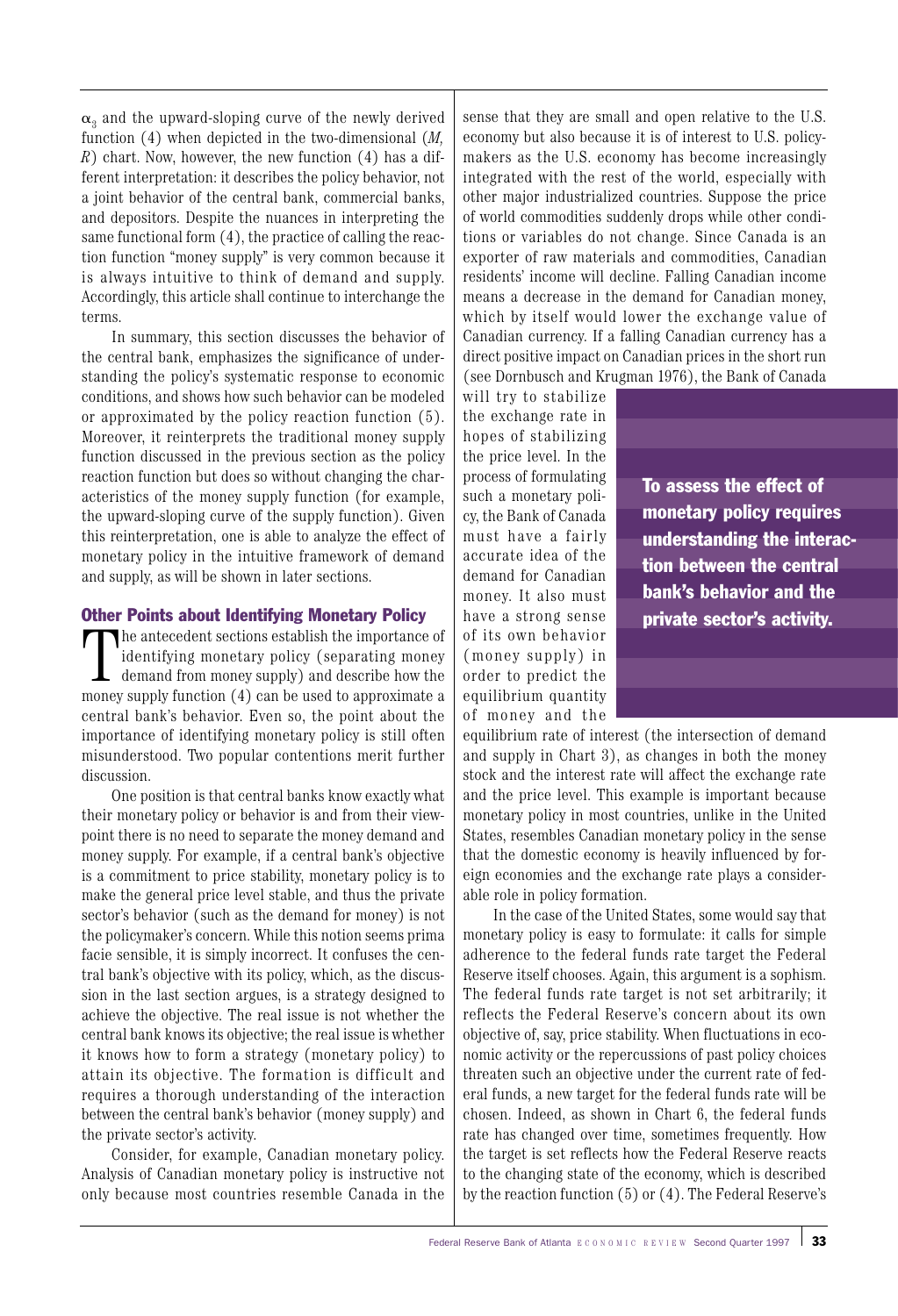$\alpha_3$  and the upward-sloping curve of the newly derived function (4) when depicted in the two-dimensional (*M, R*) chart. Now, however, the new function (4) has a different interpretation: it describes the policy behavior, not a joint behavior of the central bank, commercial banks, and depositors. Despite the nuances in interpreting the same functional form (4), the practice of calling the reaction function "money supply" is very common because it is always intuitive to think of demand and supply. Accordingly, this article shall continue to interchange the terms.

In summary, this section discusses the behavior of the central bank, emphasizes the significance of understanding the policy's systematic response to economic conditions, and shows how such behavior can be modeled or approximated by the policy reaction function (5). Moreover, it reinterprets the traditional money supply function discussed in the previous section as the policy reaction function but does so without changing the characteristics of the money supply function (for example, the upward-sloping curve of the supply function). Given this reinterpretation, one is able to analyze the effect of monetary policy in the intuitive framework of demand and supply, as will be shown in later sections.

## Other Points about Identifying Monetary Policy

The antecedent sections establish the importance of identifying monetary policy (separating money demand from money supply) and describe how the money supply function (4) can be used to approximate a he antecedent sections establish the importance of identifying monetary policy (separating money demand from money supply) and describe how the central bank's behavior. Even so, the point about the importance of identifying monetary policy is still often misunderstood. Two popular contentions merit further discussion.

One position is that central banks know exactly what their monetary policy or behavior is and from their viewpoint there is no need to separate the money demand and money supply. For example, if a central bank's objective is a commitment to price stability, monetary policy is to make the general price level stable, and thus the private sector's behavior (such as the demand for money) is not the policymaker's concern. While this notion seems prima facie sensible, it is simply incorrect. It confuses the central bank's objective with its policy, which, as the discussion in the last section argues, is a strategy designed to achieve the objective. The real issue is not whether the central bank knows its objective; the real issue is whether it knows how to form a strategy (monetary policy) to attain its objective. The formation is difficult and requires a thorough understanding of the interaction between the central bank's behavior (money supply) and the private sector's activity.

Consider, for example, Canadian monetary policy. Analysis of Canadian monetary policy is instructive not only because most countries resemble Canada in the

sense that they are small and open relative to the U.S. economy but also because it is of interest to U.S. policymakers as the U.S. economy has become increasingly integrated with the rest of the world, especially with other major industrialized countries. Suppose the price of world commodities suddenly drops while other conditions or variables do not change. Since Canada is an exporter of raw materials and commodities, Canadian residents' income will decline. Falling Canadian income means a decrease in the demand for Canadian money, which by itself would lower the exchange value of Canadian currency. If a falling Canadian currency has a direct positive impact on Canadian prices in the short run (see Dornbusch and Krugman 1976), the Bank of Canada

will try to stabilize the exchange rate in hopes of stabilizing the price level. In the process of formulating such a monetary policy, the Bank of Canada must have a fairly accurate idea of the demand for Canadian money. It also must have a strong sense of its own behavior (money supply) in order to predict the equilibrium quantity of money and the

To assess the effect of monetary policy requires understanding the interaction between the central bank's behavior and the private sector's activity.

equilibrium rate of interest (the intersection of demand and supply in Chart 3), as changes in both the money stock and the interest rate will affect the exchange rate and the price level. This example is important because monetary policy in most countries, unlike in the United States, resembles Canadian monetary policy in the sense that the domestic economy is heavily influenced by foreign economies and the exchange rate plays a considerable role in policy formation.

In the case of the United States, some would say that monetary policy is easy to formulate: it calls for simple adherence to the federal funds rate target the Federal Reserve itself chooses. Again, this argument is a sophism. The federal funds rate target is not set arbitrarily; it reflects the Federal Reserve's concern about its own objective of, say, price stability. When fluctuations in economic activity or the repercussions of past policy choices threaten such an objective under the current rate of federal funds, a new target for the federal funds rate will be chosen. Indeed, as shown in Chart 6, the federal funds rate has changed over time, sometimes frequently. How the target is set reflects how the Federal Reserve reacts to the changing state of the economy, which is described by the reaction function (5) or (4). The Federal Reserve's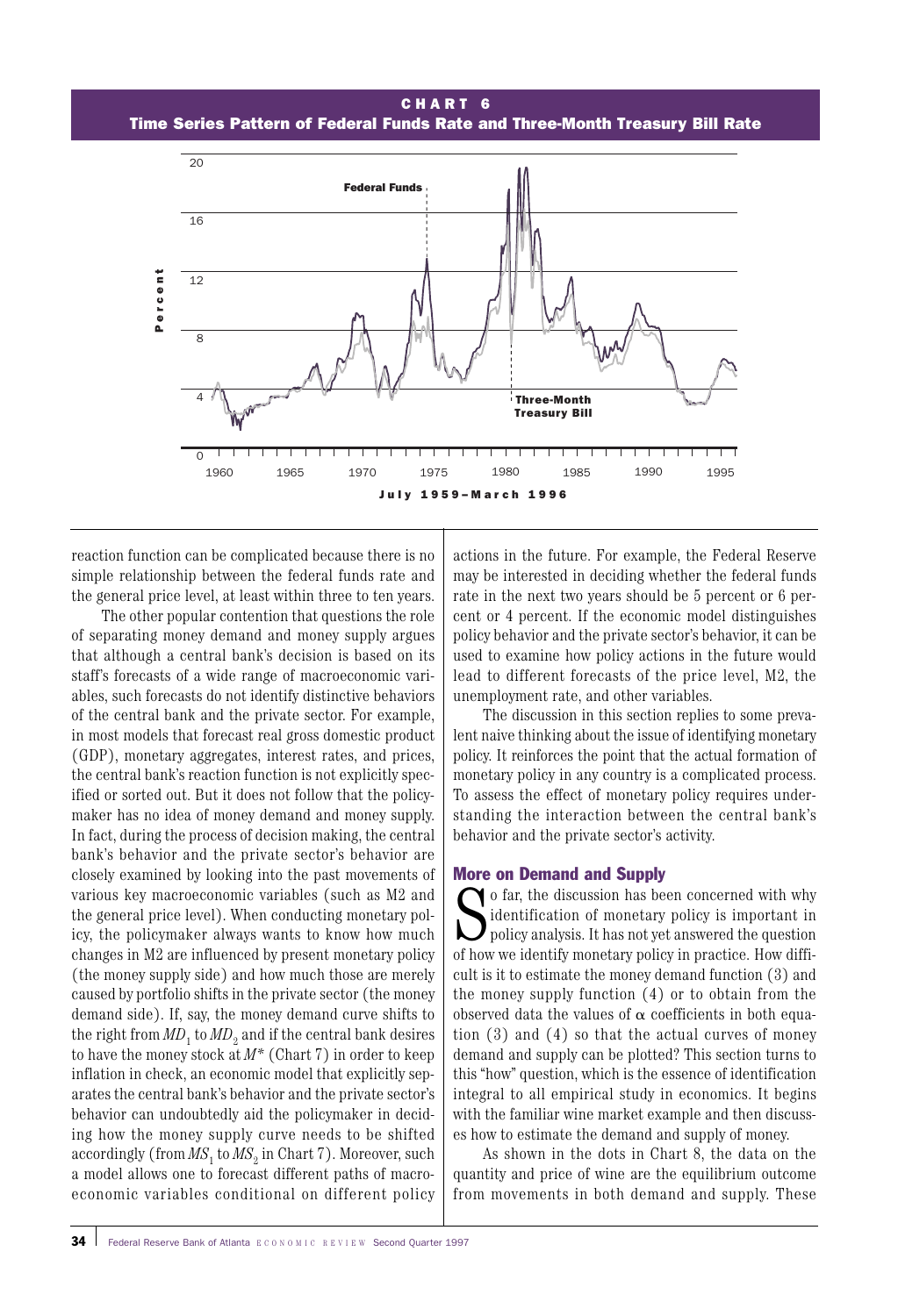#### CHA R T 6

Time Series Pattern of Federal Funds Rate and Three-Month Treasury Bill Rate



reaction function can be complicated because there is no simple relationship between the federal funds rate and the general price level, at least within three to ten years.

The other popular contention that questions the role of separating money demand and money supply argues that although a central bank's decision is based on its staff's forecasts of a wide range of macroeconomic variables, such forecasts do not identify distinctive behaviors of the central bank and the private sector. For example, in most models that forecast real gross domestic product (GDP), monetary aggregates, interest rates, and prices, the central bank's reaction function is not explicitly specified or sorted out. But it does not follow that the policymaker has no idea of money demand and money supply. In fact, during the process of decision making, the central bank's behavior and the private sector's behavior are closely examined by looking into the past movements of various key macroeconomic variables (such as M2 and the general price level). When conducting monetary policy, the policymaker always wants to know how much changes in M2 are influenced by present monetary policy (the money supply side) and how much those are merely caused by portfolio shifts in the private sector (the money demand side). If, say, the money demand curve shifts to the right from  $MD_1$  to  $MD_2$  and if the central bank desires to have the money stock at *M\** (Chart 7) in order to keep inflation in check, an economic model that explicitly separates the central bank's behavior and the private sector's behavior can undoubtedly aid the policymaker in deciding how the money supply curve needs to be shifted accordingly (from  $MS<sub>1</sub>$  to  $MS<sub>2</sub>$  in Chart 7). Moreover, such a model allows one to forecast different paths of macroeconomic variables conditional on different policy

actions in the future. For example, the Federal Reserve may be interested in deciding whether the federal funds rate in the next two years should be 5 percent or 6 percent or 4 percent. If the economic model distinguishes policy behavior and the private sector's behavior, it can be used to examine how policy actions in the future would lead to different forecasts of the price level, M2, the unemployment rate, and other variables.

The discussion in this section replies to some prevalent naive thinking about the issue of identifying monetary policy. It reinforces the point that the actual formation of monetary policy in any country is a complicated process. To assess the effect of monetary policy requires understanding the interaction between the central bank's behavior and the private sector's activity.

#### More on Demand and Supply

So far, the discussion has been concerned with why<br>dentification of monetary policy is important in<br>policy analysis. It has not yet answered the question<br>of how we identify monetary policy in practice. How diffi identification of monetary policy is important in policy analysis. It has not yet answered the question of how we identify monetary policy in practice. How difficult is it to estimate the money demand function (3) and the money supply function (4) or to obtain from the observed data the values of  $\alpha$  coefficients in both equation (3) and (4) so that the actual curves of money demand and supply can be plotted? This section turns to this "how" question, which is the essence of identification integral to all empirical study in economics. It begins with the familiar wine market example and then discusses how to estimate the demand and supply of money.

As shown in the dots in Chart 8, the data on the quantity and price of wine are the equilibrium outcome from movements in both demand and supply. These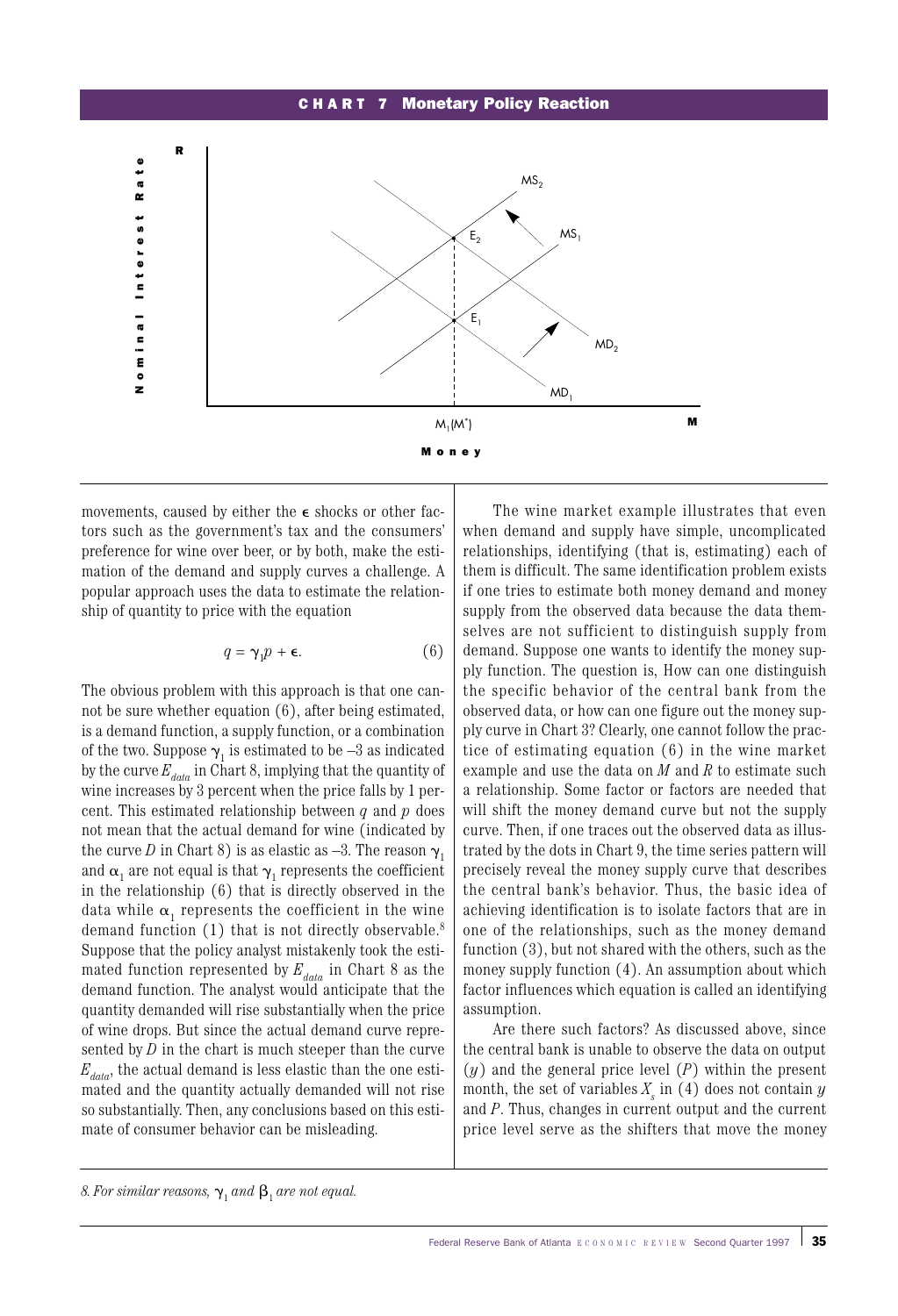#### CHA R T 7 Monetary Policy Reaction



movements, caused by either the  $\epsilon$  shocks or other factors such as the government's tax and the consumers' preference for wine over beer, or by both, make the estimation of the demand and supply curves a challenge. A popular approach uses the data to estimate the relationship of quantity to price with the equation

$$
q = \gamma_1 p + \epsilon. \tag{6}
$$

The obvious problem with this approach is that one cannot be sure whether equation (6), after being estimated, is a demand function, a supply function, or a combination of the two. Suppose  $\gamma_1$  is estimated to be  $-3$  as indicated by the curve  $E_{data}$  in Chart 8, implying that the quantity of wine increases by 3 percent when the price falls by 1 percent. This estimated relationship between *q* and *p* does not mean that the actual demand for wine (indicated by the curve *D* in Chart 8) is as elastic as  $-3$ . The reason  $\gamma_1$ and  $\alpha_1$  are not equal is that  $\gamma_1$  represents the coefficient in the relationship (6) that is directly observed in the data while  $\alpha_1$  represents the coefficient in the wine demand function (1) that is not directly observable.<sup>8</sup> Suppose that the policy analyst mistakenly took the estimated function represented by  $E_{data}$  in Chart 8 as the demand function. The analyst would anticipate that the quantity demanded will rise substantially when the price of wine drops. But since the actual demand curve represented by  $D$  in the chart is much steeper than the curve  $E_{data}$ , the actual demand is less elastic than the one estimated and the quantity actually demanded will not rise so substantially. Then, any conclusions based on this estimate of consumer behavior can be misleading.

The wine market example illustrates that even when demand and supply have simple, uncomplicated relationships, identifying (that is, estimating) each of them is difficult. The same identification problem exists if one tries to estimate both money demand and money supply from the observed data because the data themselves are not sufficient to distinguish supply from demand. Suppose one wants to identify the money supply function. The question is, How can one distinguish the specific behavior of the central bank from the observed data, or how can one figure out the money supply curve in Chart 3? Clearly, one cannot follow the practice of estimating equation (6) in the wine market example and use the data on *M* and *R* to estimate such a relationship. Some factor or factors are needed that will shift the money demand curve but not the supply curve. Then, if one traces out the observed data as illustrated by the dots in Chart 9, the time series pattern will precisely reveal the money supply curve that describes the central bank's behavior. Thus, the basic idea of achieving identification is to isolate factors that are in one of the relationships, such as the money demand function (3), but not shared with the others, such as the money supply function (4). An assumption about which factor influences which equation is called an identifying assumption.

Are there such factors? As discussed above, since the central bank is unable to observe the data on output (*y*) and the general price level (*P*) within the present month, the set of variables  $X<sub>s</sub>$  in (4) does not contain  $y$ and *P*. Thus, changes in current output and the current price level serve as the shifters that move the money

*<sup>8.</sup> For similar reasons,*  $\gamma_1$  *and*  $\beta_1$  *are not equal.*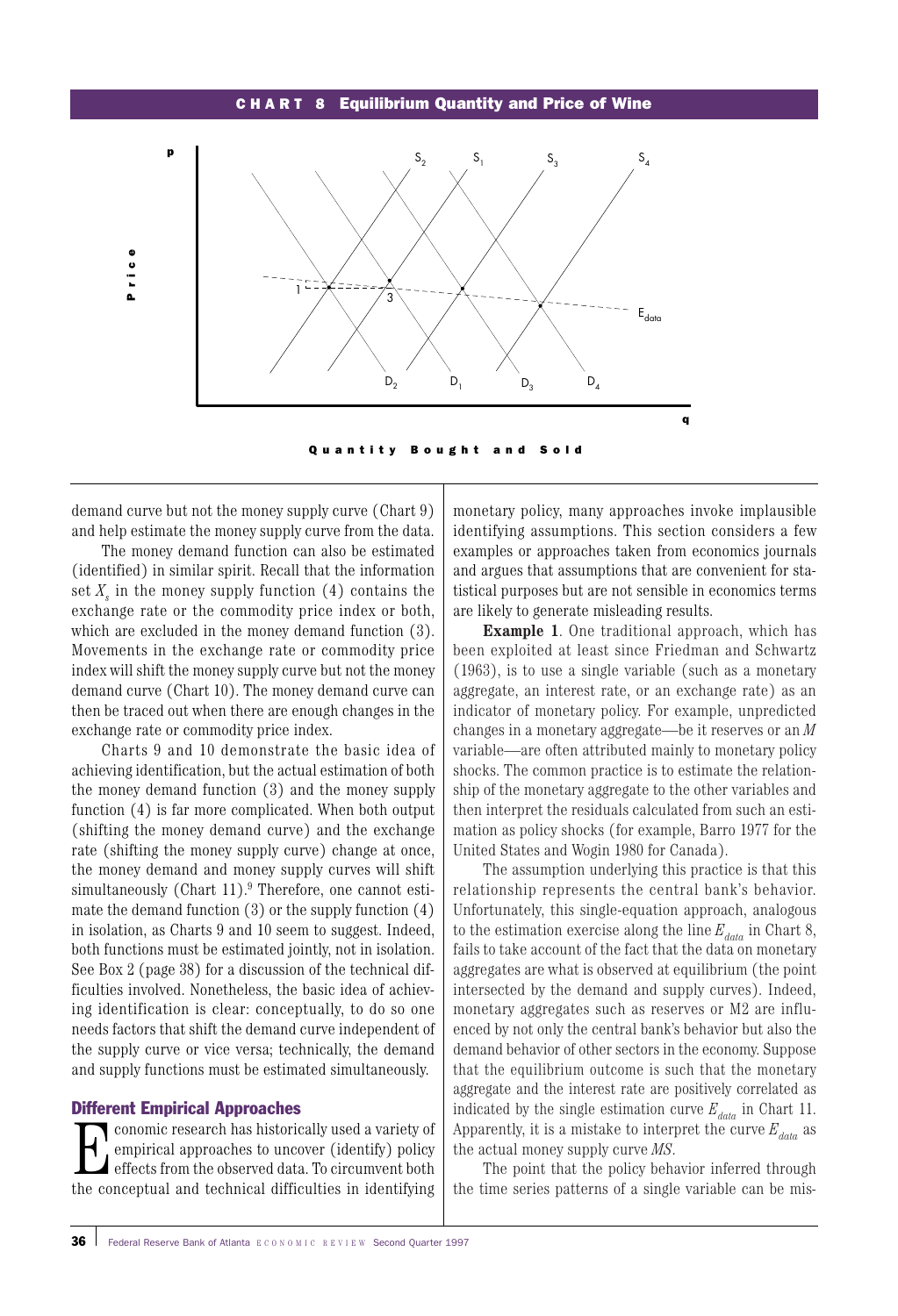#### CHA R T 8 Equilibrium Quantity and Price of Wine



demand curve but not the money supply curve (Chart 9) and help estimate the money supply curve from the data.

The money demand function can also be estimated (identified) in similar spirit. Recall that the information set  $X<sub>e</sub>$  in the money supply function  $(4)$  contains the exchange rate or the commodity price index or both, which are excluded in the money demand function (3). Movements in the exchange rate or commodity price index will shift the money supply curve but not the money demand curve (Chart 10). The money demand curve can then be traced out when there are enough changes in the exchange rate or commodity price index.

Charts 9 and 10 demonstrate the basic idea of achieving identification, but the actual estimation of both the money demand function (3) and the money supply function (4) is far more complicated. When both output (shifting the money demand curve) and the exchange rate (shifting the money supply curve) change at once, the money demand and money supply curves will shift simultaneously (Chart  $11$ ).<sup>9</sup> Therefore, one cannot estimate the demand function (3) or the supply function (4) in isolation, as Charts 9 and 10 seem to suggest. Indeed, both functions must be estimated jointly, not in isolation. See Box 2 (page 38) for a discussion of the technical difficulties involved. Nonetheless, the basic idea of achieving identification is clear: conceptually, to do so one needs factors that shift the demand curve independent of the supply curve or vice versa; technically, the demand and supply functions must be estimated simultaneously.

#### Different Empirical Approaches

**Exercise Franch has historically used a variety of**<br>
effects from the observed data. To circumvent both<br>
the concentual and technical difficulties in identifying empirical approaches to uncover (identify) policy the conceptual and technical difficulties in identifying

monetary policy, many approaches invoke implausible identifying assumptions. This section considers a few examples or approaches taken from economics journals and argues that assumptions that are convenient for statistical purposes but are not sensible in economics terms are likely to generate misleading results.

**Example 1**. One traditional approach, which has been exploited at least since Friedman and Schwartz (1963), is to use a single variable (such as a monetary aggregate, an interest rate, or an exchange rate) as an indicator of monetary policy. For example, unpredicted changes in a monetary aggregate—be it reserves or an *M* variable—are often attributed mainly to monetary policy shocks. The common practice is to estimate the relationship of the monetary aggregate to the other variables and then interpret the residuals calculated from such an estimation as policy shocks (for example, Barro 1977 for the United States and Wogin 1980 for Canada).

The assumption underlying this practice is that this relationship represents the central bank's behavior. Unfortunately, this single-equation approach, analogous to the estimation exercise along the line  $E_{data}$  in Chart 8, fails to take account of the fact that the data on monetary aggregates are what is observed at equilibrium (the point intersected by the demand and supply curves). Indeed, monetary aggregates such as reserves or M2 are influenced by not only the central bank's behavior but also the demand behavior of other sectors in the economy. Suppose that the equilibrium outcome is such that the monetary aggregate and the interest rate are positively correlated as indicated by the single estimation curve  $E_{data}$  in Chart 11. Apparently, it is a mistake to interpret the curve  $E_{data}$  as the actual money supply curve *MS*.

The point that the policy behavior inferred through the time series patterns of a single variable can be mis-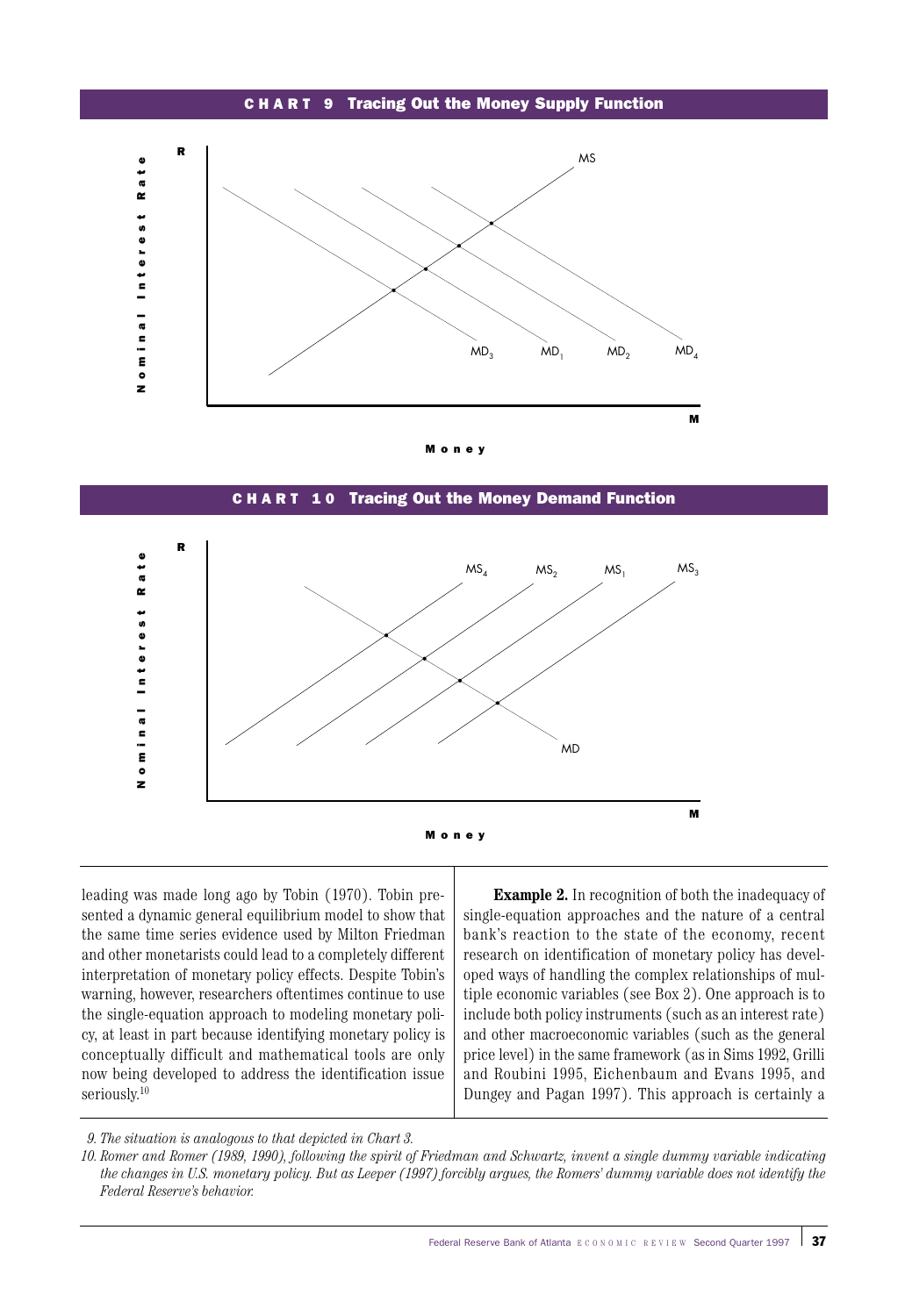#### CHA R T 9 Tracing Out the Money Supply Function





#### CHA R T 1 0 Tracing Out the Money Demand Function



leading was made long ago by Tobin (1970). Tobin presented a dynamic general equilibrium model to show that the same time series evidence used by Milton Friedman and other monetarists could lead to a completely different interpretation of monetary policy effects. Despite Tobin's warning, however, researchers oftentimes continue to use the single-equation approach to modeling monetary policy, at least in part because identifying monetary policy is conceptually difficult and mathematical tools are only now being developed to address the identification issue seriously. 10

**Example 2.** In recognition of both the inadequacy of single-equation approaches and the nature of a central bank's reaction to the state of the economy, recent research on identification of monetary policy has developed ways of handling the complex relationships of multiple economic variables (see Box 2). One approach is to include both policy instruments (such as an interest rate) and other macroeconomic variables (such as the general price level) in the same framework (as in Sims 1992, Grilli and Roubini 1995, Eichenbaum and Evans 1995, and Dungey and Pagan 1997). This approach is certainly a

*<sup>9.</sup> The situation is analogous to that depicted in Chart 3.*

*<sup>10.</sup> Romer and Romer (1989, 1990), following the spirit of Friedman and Schwartz, invent a single dummy variable indicating the changes in U.S. monetary policy. But as Leeper (1997) forcibly argues, the Romers' dummy variable does not identify the Federal Reserve's behavior.*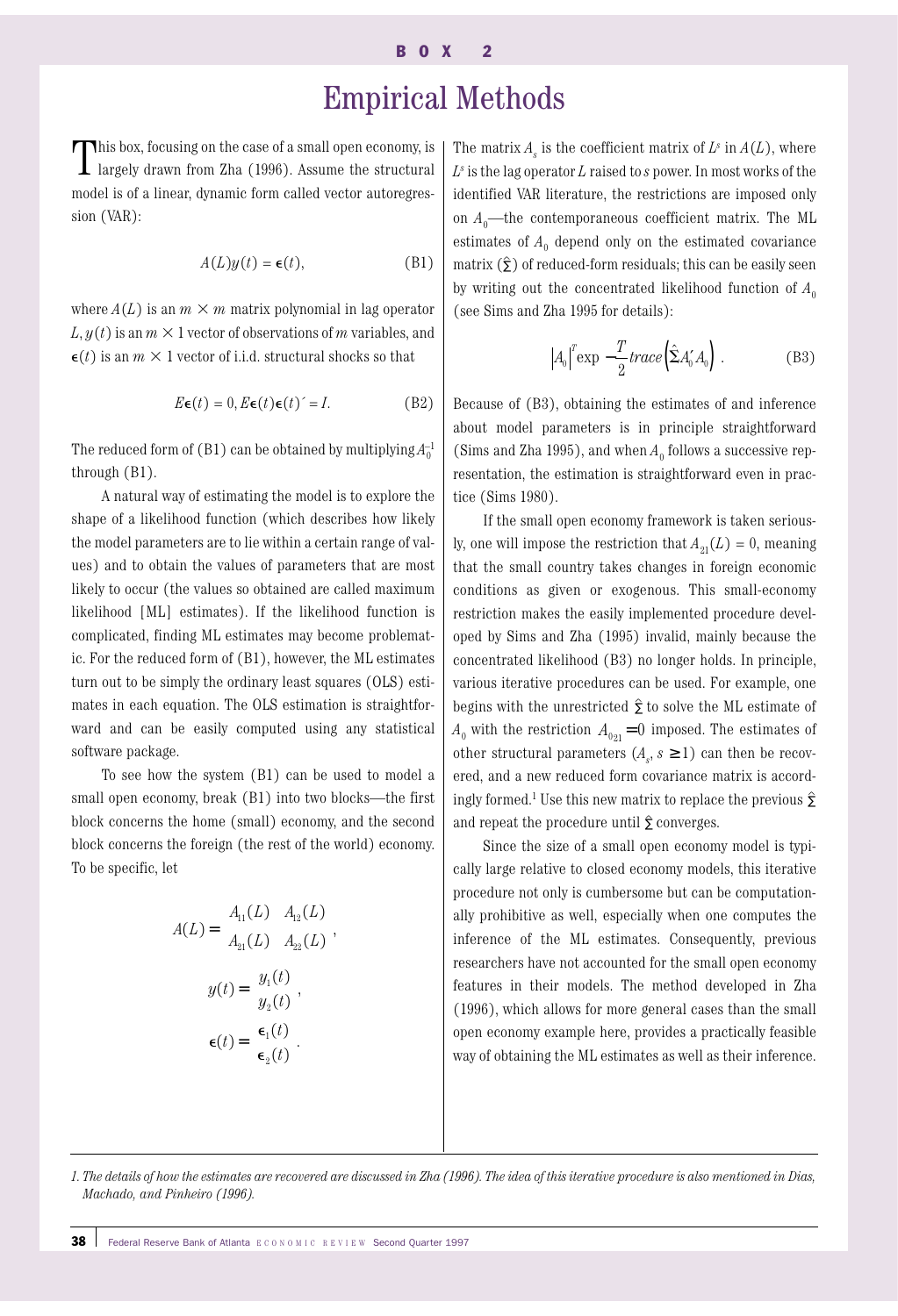# Empirical Methods

This box, focusing on the case of a small open economy, is  $\blacksquare$  largely drawn from Zha (1996). Assume the structural model is of a linear, dynamic form called vector autoregression (VAR):

$$
A(L)y(t) = \epsilon(t), \tag{B1}
$$

where  $A(L)$  is an  $m \times m$  matrix polynomial in lag operator  $L, y(t)$  is an  $m \times 1$  vector of observations of *m* variables, and  $\epsilon(t)$  is an  $m \times 1$  vector of i.i.d. structural shocks so that

$$
E\epsilon(t) = 0, E\epsilon(t)\epsilon(t)' = I.
$$
 (B2)

The reduced form of (B1) can be obtained by multiplying  $A_0^{-1}$ through (B1).

A natural way of estimating the model is to explore the shape of a likelihood function (which describes how likely the model parameters are to lie within a certain range of values) and to obtain the values of parameters that are most likely to occur (the values so obtained are called maximum likelihood [ML] estimates). If the likelihood function is complicated, finding ML estimates may become problematic. For the reduced form of (B1), however, the ML estimates turn out to be simply the ordinary least squares (OLS) estimates in each equation. The OLS estimation is straightforward and can be easily computed using any statistical software package.

To see how the system (B1) can be used to model a small open economy, break (B1) into two blocks—the first block concerns the home (small) economy, and the second block concerns the foreign (the rest of the world) economy. To be specific, let

$$
A(L) = \begin{pmatrix} A_{11}(L) & A_{12}(L) \\ A_{21}(L) & A_{22}(L) \end{pmatrix},
$$

$$
y(t) = \begin{pmatrix} y_1(t) \\ y_2(t) \end{pmatrix},
$$

$$
\epsilon(t) = \begin{pmatrix} \epsilon_1(t) \\ \epsilon_2(t) \end{pmatrix}.
$$

The matrix  $A_{\mu}$  is the coefficient matrix of  $L^s$  in  $A(L)$ , where *Ls* is the lag operator *L* raised to *s* power. In most works of the identified VAR literature, the restrictions are imposed only on  $A_0$ —the contemporaneous coefficient matrix. The ML estimates of  $A_0$  depend only on the estimated covariance matrix  $(\hat{\Sigma})$  of reduced-form residuals; this can be easily seen by writing out the concentrated likelihood function of  $A_0$ (see Sims and Zha 1995 for details):

$$
|A_0|^T \exp\left[-\frac{T}{2}trace\left(\hat{\Sigma}A'_0A_0\right)\right].
$$
 (B3)

Because of (B3), obtaining the estimates of and inference about model parameters is in principle straightforward (Sims and Zha 1995), and when  $A_0$  follows a successive representation, the estimation is straightforward even in practice (Sims 1980).

If the small open economy framework is taken seriously, one will impose the restriction that  $A_{21}(L) = 0$ , meaning that the small country takes changes in foreign economic conditions as given or exogenous. This small-economy restriction makes the easily implemented procedure developed by Sims and Zha (1995) invalid, mainly because the concentrated likelihood (B3) no longer holds. In principle, various iterative procedures can be used. For example, one begins with the unrestricted  $\hat{\Sigma}$  to solve the ML estimate of  $A_0$  with the restriction  $A_{0_{21}} = 0$  imposed. The estimates of other structural parameters  $(A_s, s \ge 1)$  can then be recovered, and a new reduced form covariance matrix is accordingly formed.<sup>1</sup> Use this new matrix to replace the previous  $\hat{\Sigma}$ and repeat the procedure until  $\hat{\Sigma}$  converges.

Since the size of a small open economy model is typically large relative to closed economy models, this iterative procedure not only is cumbersome but can be computationally prohibitive as well, especially when one computes the inference of the ML estimates. Consequently, previous researchers have not accounted for the small open economy features in their models. The method developed in Zha (1996), which allows for more general cases than the small open economy example here, provides a practically feasible way of obtaining the ML estimates as well as their inference.

*1. The details of how the estimates are recovered are discussed in Zha (1996). The idea of this iterative procedure is also mentioned in Dias, Machado, and Pinheiro (1996).*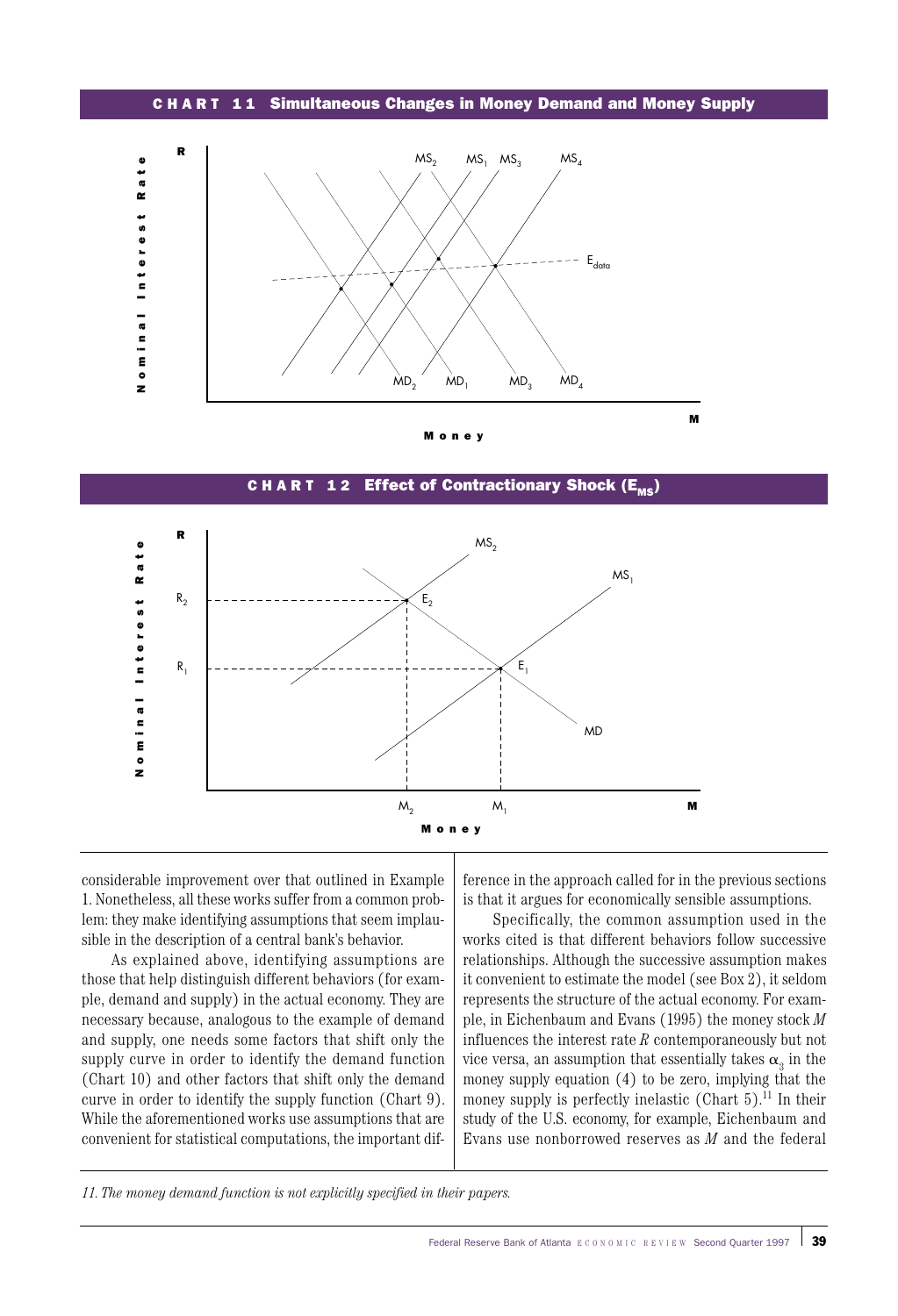CHA R T 1 1 Simultaneous Changes in Money Demand and Money Supply



Money

R $MS<sub>2</sub>$ ominal Interest Rate Nominal Inter est Rate  $MS<sub>1</sub>$ R2 E2  $R_1$  $E_1$ MD z  $M_2$   $M_1$  **M**  $M<sub>1</sub>$ Money

C H A R T 12 Effect of Contractionary Shock  $(E_{\text{mc}})$ 

considerable improvement over that outlined in Example 1. Nonetheless, all these works suffer from a common problem: they make identifying assumptions that seem implausible in the description of a central bank's behavior.

As explained above, identifying assumptions are those that help distinguish different behaviors (for example, demand and supply) in the actual economy. They are necessary because, analogous to the example of demand and supply, one needs some factors that shift only the supply curve in order to identify the demand function (Chart 10) and other factors that shift only the demand curve in order to identify the supply function (Chart 9). While the aforementioned works use assumptions that are convenient for statistical computations, the important difference in the approach called for in the previous sections is that it argues for economically sensible assumptions.

Specifically, the common assumption used in the works cited is that different behaviors follow successive relationships. Although the successive assumption makes it convenient to estimate the model (see Box 2), it seldom represents the structure of the actual economy. For example, in Eichenbaum and Evans (1995) the money stock *M* influences the interest rate *R* contemporaneously but not vice versa, an assumption that essentially takes  $\alpha_{3}$  in the money supply equation (4) to be zero, implying that the money supply is perfectly inelastic (Chart  $5$ ).<sup>11</sup> In their study of the U.S. economy, for example, Eichenbaum and Evans use nonborrowed reserves as *M* and the federal

*<sup>11.</sup> The money demand function is not explicitly specified in their papers.*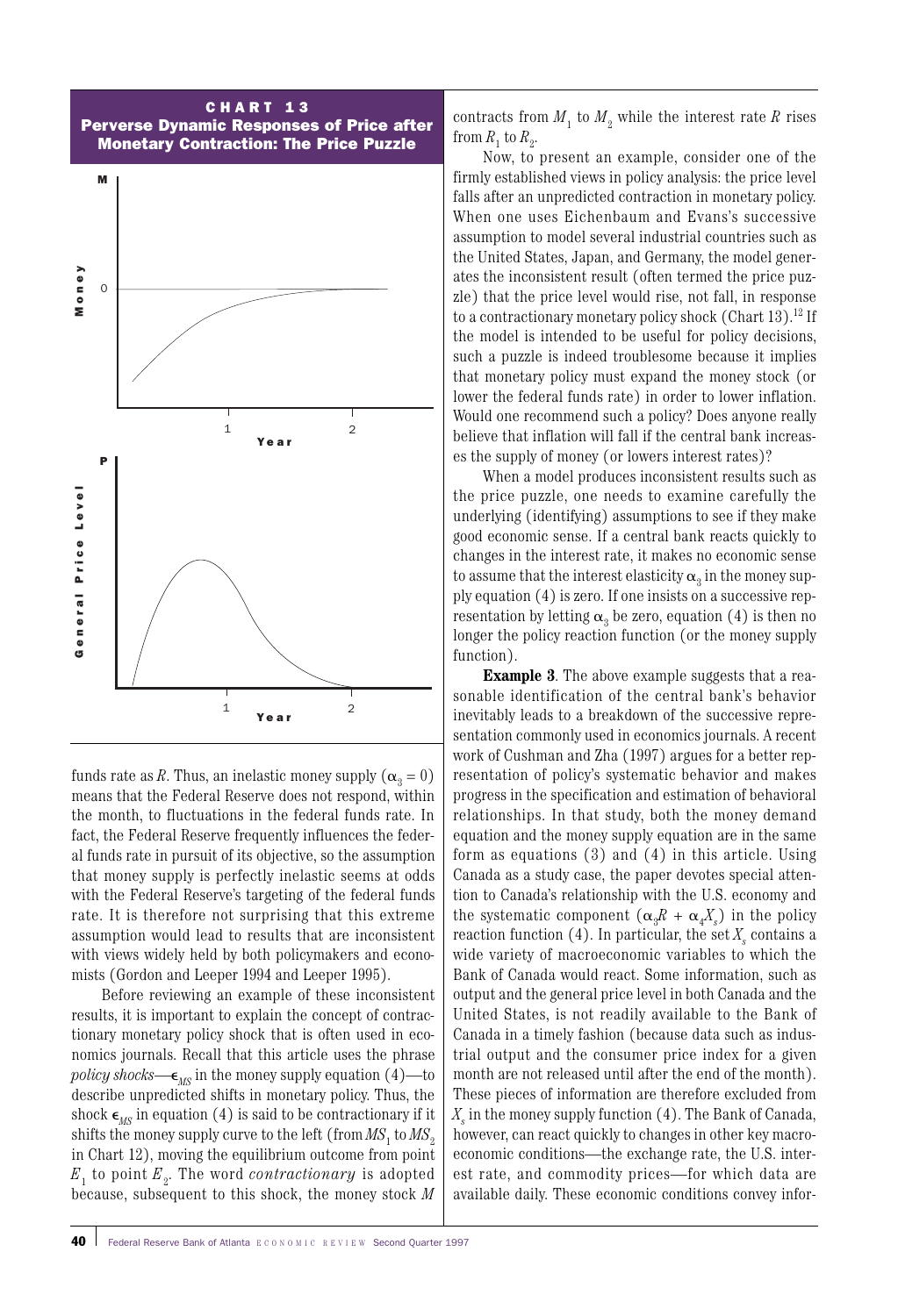

funds rate as *R*. Thus, an inelastic money supply ( $\alpha_3 = 0$ ) means that the Federal Reserve does not respond, within the month, to fluctuations in the federal funds rate. In fact, the Federal Reserve frequently influences the federal funds rate in pursuit of its objective, so the assumption that money supply is perfectly inelastic seems at odds with the Federal Reserve's targeting of the federal funds rate. It is therefore not surprising that this extreme assumption would lead to results that are inconsistent with views widely held by both policymakers and economists (Gordon and Leeper 1994 and Leeper 1995).

Before reviewing an example of these inconsistent results, it is important to explain the concept of contractionary monetary policy shock that is often used in economics journals. Recall that this article uses the phrase *policy shocks*— $\epsilon_{MS}$  in the money supply equation (4)—to describe unpredicted shifts in monetary policy. Thus, the shock  $\epsilon_{MS}$  in equation (4) is said to be contractionary if it shifts the money supply curve to the left (from  $MS<sub>1</sub>$  to  $MS<sub>2</sub>$ in Chart 12), moving the equilibrium outcome from point  $E_1$  to point  $E_2$ . The word *contractionary* is adopted because, subsequent to this shock, the money stock *M*

contracts from  $M_1$  to  $M_2$  while the interest rate R rises from  $R_1$  to  $R_2$ .

Now, to present an example, consider one of the firmly established views in policy analysis: the price level falls after an unpredicted contraction in monetary policy. When one uses Eichenbaum and Evans's successive assumption to model several industrial countries such as the United States, Japan, and Germany, the model generates the inconsistent result (often termed the price puzzle) that the price level would rise, not fall, in response to a contractionary monetary policy shock (Chart  $13$ ).<sup>12</sup> If the model is intended to be useful for policy decisions, such a puzzle is indeed troublesome because it implies that monetary policy must expand the money stock (or lower the federal funds rate) in order to lower inflation. Would one recommend such a policy? Does anyone really believe that inflation will fall if the central bank increases the supply of money (or lowers interest rates)?

When a model produces inconsistent results such as the price puzzle, one needs to examine carefully the underlying (identifying) assumptions to see if they make good economic sense. If a central bank reacts quickly to changes in the interest rate, it makes no economic sense to assume that the interest elasticity  $\alpha_3$  in the money supply equation (4) is zero. If one insists on a successive representation by letting  $\alpha_3$  be zero, equation (4) is then no longer the policy reaction function (or the money supply function).

**Example 3**. The above example suggests that a reasonable identification of the central bank's behavior inevitably leads to a breakdown of the successive representation commonly used in economics journals. A recent work of Cushman and Zha (1997) argues for a better representation of policy's systematic behavior and makes progress in the specification and estimation of behavioral relationships. In that study, both the money demand equation and the money supply equation are in the same form as equations (3) and (4) in this article. Using Canada as a study case, the paper devotes special attention to Canada's relationship with the U.S. economy and the systematic component  $(\alpha_{3}R + \alpha_{4}X_{s})$  in the policy reaction function  $(4)$ . In particular, the set  $X_s$  contains a wide variety of macroeconomic variables to which the Bank of Canada would react. Some information, such as output and the general price level in both Canada and the United States, is not readily available to the Bank of Canada in a timely fashion (because data such as industrial output and the consumer price index for a given month are not released until after the end of the month). These pieces of information are therefore excluded from  $X<sub>s</sub>$  in the money supply function  $(4)$ . The Bank of Canada, however, can react quickly to changes in other key macroeconomic conditions—the exchange rate, the U.S. interest rate, and commodity prices—for which data are available daily. These economic conditions convey infor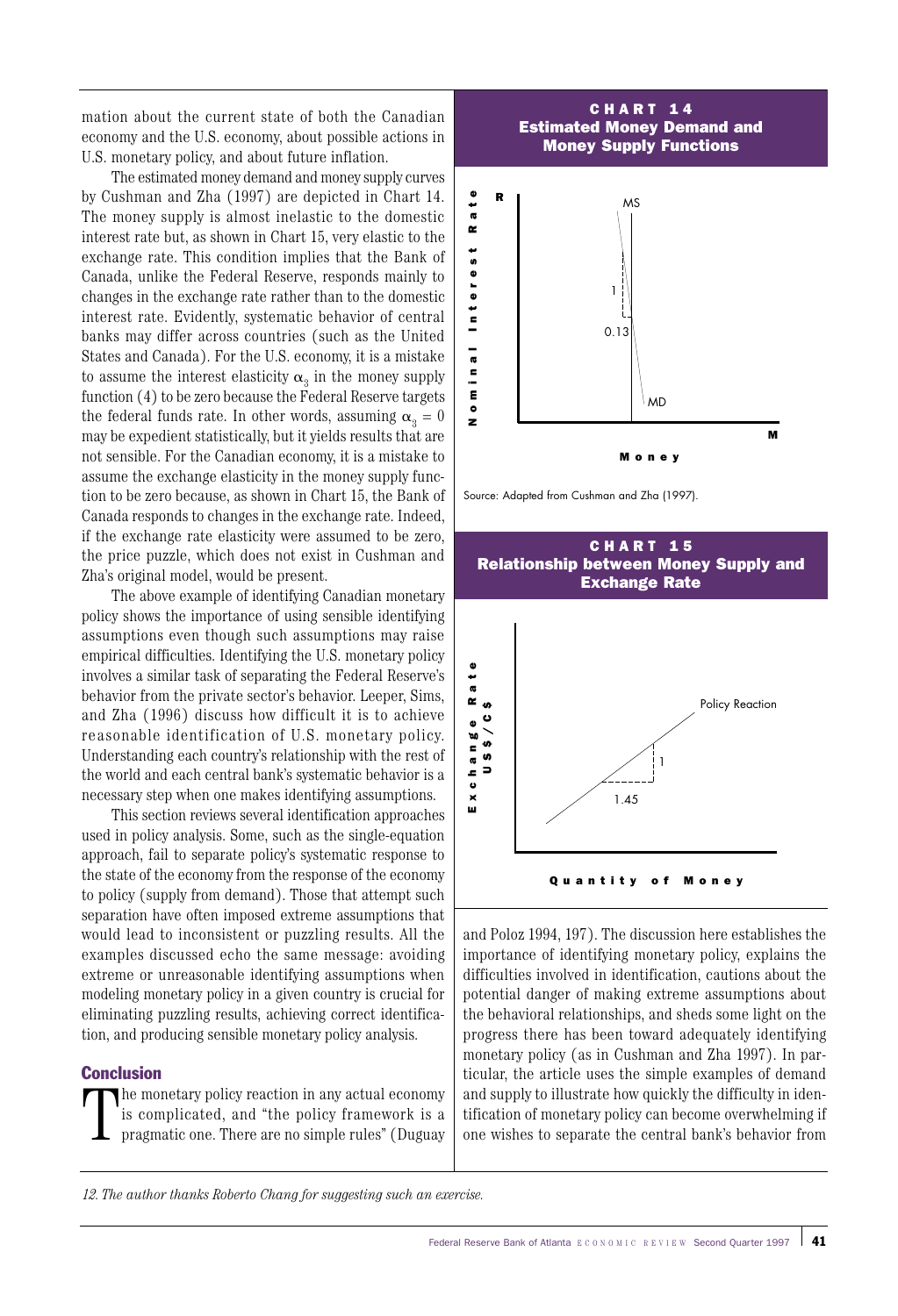mation about the current state of both the Canadian economy and the U.S. economy, about possible actions in U.S. monetary policy, and about future inflation.

The estimated money demand and money supply curves by Cushman and Zha (1997) are depicted in Chart 14. The money supply is almost inelastic to the domestic interest rate but, as shown in Chart 15, very elastic to the exchange rate. This condition implies that the Bank of Canada, unlike the Federal Reserve, responds mainly to changes in the exchange rate rather than to the domestic interest rate. Evidently, systematic behavior of central banks may differ across countries (such as the United States and Canada). For the U.S. economy, it is a mistake to assume the interest elasticity  $\alpha_3$  in the money supply function (4) to be zero because the Federal Reserve targets the federal funds rate. In other words, assuming  $\alpha_3 = 0$ may be expedient statistically, but it yields results that are not sensible. For the Canadian economy, it is a mistake to assume the exchange elasticity in the money supply function to be zero because, as shown in Chart 15, the Bank of Canada responds to changes in the exchange rate. Indeed, if the exchange rate elasticity were assumed to be zero, the price puzzle, which does not exist in Cushman and Zha's original model, would be present.

The above example of identifying Canadian monetary policy shows the importance of using sensible identifying assumptions even though such assumptions may raise empirical difficulties. Identifying the U.S. monetary policy involves a similar task of separating the Federal Reserve's behavior from the private sector's behavior. Leeper, Sims, and Zha (1996) discuss how difficult it is to achieve reasonable identification of U.S. monetary policy. Understanding each country's relationship with the rest of the world and each central bank's systematic behavior is a necessary step when one makes identifying assumptions.

This section reviews several identification approaches used in policy analysis. Some, such as the single-equation approach, fail to separate policy's systematic response to the state of the economy from the response of the economy to policy (supply from demand). Those that attempt such separation have often imposed extreme assumptions that would lead to inconsistent or puzzling results. All the examples discussed echo the same message: avoiding extreme or unreasonable identifying assumptions when modeling monetary policy in a given country is crucial for eliminating puzzling results, achieving correct identification, and producing sensible monetary policy analysis.

## Conclusion

T he monetary policy reaction in any actual economy is complicated, and "the policy framework is a pragmatic one. There are no simple rules" (Duguay



Money

Source: Adapted from Cushman and Zha (1997).



and Poloz 1994, 197). The discussion here establishes the importance of identifying monetary policy, explains the difficulties involved in identification, cautions about the potential danger of making extreme assumptions about the behavioral relationships, and sheds some light on the progress there has been toward adequately identifying monetary policy (as in Cushman and Zha 1997). In particular, the article uses the simple examples of demand and supply to illustrate how quickly the difficulty in identification of monetary policy can become overwhelming if

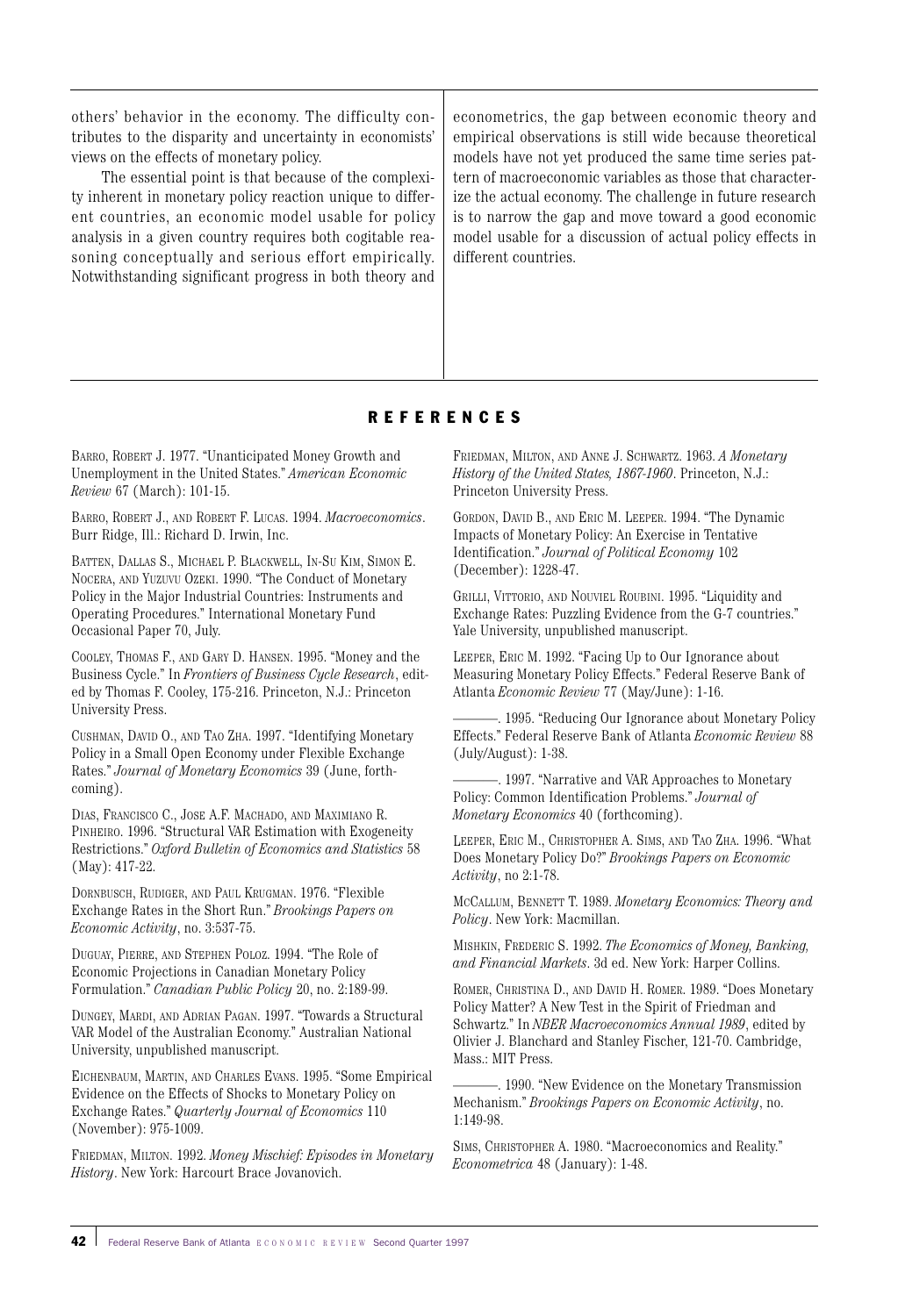others' behavior in the economy. The difficulty contributes to the disparity and uncertainty in economists' views on the effects of monetary policy.

The essential point is that because of the complexity inherent in monetary policy reaction unique to different countries, an economic model usable for policy analysis in a given country requires both cogitable reasoning conceptually and serious effort empirically. Notwithstanding significant progress in both theory and

econometrics, the gap between economic theory and empirical observations is still wide because theoretical models have not yet produced the same time series pattern of macroeconomic variables as those that characterize the actual economy. The challenge in future research is to narrow the gap and move toward a good economic model usable for a discussion of actual policy effects in different countries.

## REFERENCES

BARRO, ROBERT J. 1977. "Unanticipated Money Growth and Unemployment in the United States." *American Economic Review* 67 (March): 101-15.

BARRO, ROBERT J., AND ROBERT F. LUCAS. 1994. *Macroeconomics*. Burr Ridge, Ill.: Richard D. Irwin, Inc.

BATTEN, DALLAS S., MICHAEL P. BLACKWELL, IN-SU KIM, SIMON E. NOCERA, AND YUZUVU OZEKI. 1990. "The Conduct of Monetary Policy in the Major Industrial Countries: Instruments and Operating Procedures." International Monetary Fund Occasional Paper 70, July.

COOLEY, THOMAS F., AND GARY D. HANSEN. 1995. "Money and the Business Cycle." In *Frontiers of Business Cycle Research*, edited by Thomas F. Cooley, 175-216. Princeton, N.J.: Princeton University Press.

CUSHMAN, DAVID O., AND TAO ZHA. 1997. "Identifying Monetary Policy in a Small Open Economy under Flexible Exchange Rates." *Journal of Monetary Economics* 39 (June, forthcoming).

DIAS, FRANCISCO C., JOSE A.F. MACHADO, AND MAXIMIANO R. PINHEIRO. 1996. "Structural VAR Estimation with Exogeneity Restrictions." *Oxford Bulletin of Economics and Statistics* 58 (May): 417-22.

DORNBUSCH, RUDIGER, AND PAUL KRUGMAN. 1976. "Flexible Exchange Rates in the Short Run." *Brookings Papers on Economic Activity*, no. 3:537-75.

DUGUAY, PIERRE, AND STEPHEN POLOZ. 1994. "The Role of Economic Projections in Canadian Monetary Policy Formulation." *Canadian Public Policy* 20, no. 2:189-99.

DUNGEY, MARDI, AND ADRIAN PAGAN. 1997. "Towards a Structural VAR Model of the Australian Economy." Australian National University, unpublished manuscript.

EICHENBAUM, MARTIN, AND CHARLES EVANS. 1995. "Some Empirical Evidence on the Effects of Shocks to Monetary Policy on Exchange Rates." *Quarterly Journal of Economics* 110 (November): 975-1009.

FRIEDMAN, MILTON. 1992. *Money Mischief: Episodes in Monetary History*. New York: Harcourt Brace Jovanovich.

FRIEDMAN, MILTON, AND ANNE J. SCHWARTZ. 1963. *A Monetary History of the United States, 1867-1960*. Princeton, N.J.: Princeton University Press.

GORDON, DAVID B., AND ERIC M. LEEPER. 1994. "The Dynamic Impacts of Monetary Policy: An Exercise in Tentative Identification." *Journal of Political Economy* 102 (December): 1228-47.

GRILLI, VITTORIO, AND NOUVIEL ROUBINI. 1995. "Liquidity and Exchange Rates: Puzzling Evidence from the G-7 countries." Yale University, unpublished manuscript.

LEEPER, ERIC M. 1992. "Facing Up to Our Ignorance about Measuring Monetary Policy Effects." Federal Reserve Bank of Atlanta *Economic Review* 77 (May/June): 1-16.

. 1995. "Reducing Our Ignorance about Monetary Policy Effects." Federal Reserve Bank of Atlanta *Economic Review* 88 (July/August): 1-38.

. 1997. "Narrative and VAR Approaches to Monetary Policy: Common Identification Problems." *Journal of Monetary Economics* 40 (forthcoming).

LEEPER, ERIC M., CHRISTOPHER A. SIMS, AND TAO ZHA. 1996. "What Does Monetary Policy Do?" *Brookings Papers on Economic Activity*, no 2:1-78.

MCCALLUM, BENNETT T. 1989. *Monetary Economics: Theory and Policy*. New York: Macmillan.

MISHKIN, FREDERIC S. 1992. *The Economics of Money, Banking, and Financial Markets*. 3d ed. New York: Harper Collins.

ROMER, CHRISTINA D., AND DAVID H. ROMER. 1989. "Does Monetary Policy Matter? A New Test in the Spirit of Friedman and Schwartz." In *NBER Macroeconomics Annual 1989*, edited by Olivier J. Blanchard and Stanley Fischer, 121-70. Cambridge, Mass.: MIT Press.

-. 1990. "New Evidence on the Monetary Transmission Mechanism." *Brookings Papers on Economic Activity*, no. 1:149-98.

SIMS, CHRISTOPHER A. 1980. "Macroeconomics and Reality." *Econometrica* 48 (January): 1-48.